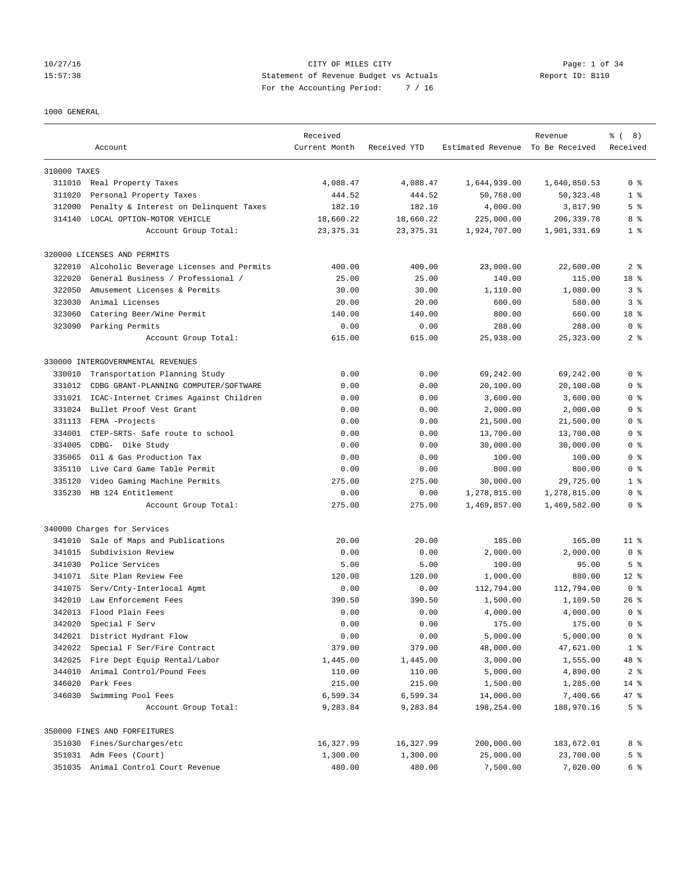#### 10/27/16 CITY OF MILES CITY Page: 1 of 34 15:57:38 Statement of Revenue Budget vs Actuals Report ID: B110 For the Accounting Period: 7 / 16

#### 1000 GENERAL

|              | Account                                 | Received<br>Current Month | Received YTD | Estimated Revenue To Be Received | Revenue      | $\frac{6}{6}$ ( 8)<br>Received |
|--------------|-----------------------------------------|---------------------------|--------------|----------------------------------|--------------|--------------------------------|
|              |                                         |                           |              |                                  |              |                                |
| 310000 TAXES |                                         |                           |              |                                  |              |                                |
|              | 311010 Real Property Taxes              | 4,088.47                  | 4,088.47     | 1,644,939.00                     | 1,640,850.53 | 0 <sup>8</sup>                 |
| 311020       | Personal Property Taxes                 | 444.52                    | 444.52       | 50,768.00                        | 50, 323.48   | 1 <sup>8</sup>                 |
| 312000       | Penalty & Interest on Delinquent Taxes  | 182.10                    | 182.10       | 4,000.00                         | 3,817.90     | 5 <sup>°</sup>                 |
| 314140       | LOCAL OPTION-MOTOR VEHICLE              | 18,660.22                 | 18,660.22    | 225,000.00                       | 206, 339.78  | 8 %                            |
|              | Account Group Total:                    | 23, 375.31                | 23, 375.31   | 1,924,707.00                     | 1,901,331.69 | 1 <sup>8</sup>                 |
|              | 320000 LICENSES AND PERMITS             |                           |              |                                  |              |                                |
| 322010       | Alcoholic Beverage Licenses and Permits | 400.00                    | 400.00       | 23,000.00                        | 22,600.00    | 2 <sub>8</sub>                 |
| 322020       | General Business / Professional /       | 25.00                     | 25.00        | 140.00                           | 115.00       | 18 %                           |
| 322050       | Amusement Licenses & Permits            | 30.00                     | 30.00        | 1,110.00                         | 1,080.00     | 3 <sup>8</sup>                 |
| 323030       | Animal Licenses                         | 20.00                     | 20.00        | 600.00                           | 580.00       | 3%                             |
| 323060       | Catering Beer/Wine Permit               | 140.00                    | 140.00       | 800.00                           | 660.00       | 18 %                           |
| 323090       | Parking Permits                         | 0.00                      | 0.00         | 288.00                           | 288.00       | 0 <sup>8</sup>                 |
|              | Account Group Total:                    | 615.00                    | 615.00       | 25,938.00                        | 25, 323.00   | 2 <sub>8</sub>                 |
|              | 330000 INTERGOVERNMENTAL REVENUES       |                           |              |                                  |              |                                |
| 330010       | Transportation Planning Study           | 0.00                      | 0.00         | 69,242.00                        | 69,242.00    | 0 <sup>8</sup>                 |
| 331012       | CDBG GRANT-PLANNING COMPUTER/SOFTWARE   | 0.00                      | 0.00         | 20,100.00                        | 20,100.00    | 0 <sup>8</sup>                 |
| 331021       | ICAC-Internet Crimes Against Children   | 0.00                      | 0.00         | 3,600.00                         | 3,600.00     | 0 <sup>8</sup>                 |
| 331024       | Bullet Proof Vest Grant                 | 0.00                      | 0.00         | 2,000.00                         | 2,000.00     | 0 <sup>8</sup>                 |
| 331113       | FEMA -Projects                          | 0.00                      | 0.00         | 21,500.00                        | 21,500.00    | 0 <sup>8</sup>                 |
| 334001       | CTEP-SRTS- Safe route to school         | 0.00                      | 0.00         | 13,700.00                        | 13,700.00    | 0 <sup>8</sup>                 |
| 334005       | CDBG- Dike Study                        | 0.00                      | 0.00         | 30,000.00                        | 30,000.00    | 0 <sup>8</sup>                 |
| 335065       | Oil & Gas Production Tax                | 0.00                      | 0.00         | 100.00                           | 100.00       | 0 <sup>8</sup>                 |
| 335110       | Live Card Game Table Permit             | 0.00                      | 0.00         | 800.00                           | 800.00       | 0 <sup>8</sup>                 |
| 335120       | Video Gaming Machine Permits            | 275.00                    | 275.00       | 30,000.00                        | 29,725.00    | 1 <sup>8</sup>                 |
| 335230       | HB 124 Entitlement                      | 0.00                      | 0.00         | 1,278,815.00                     | 1,278,815.00 | 0 <sup>8</sup>                 |
|              | Account Group Total:                    | 275.00                    | 275.00       | 1,469,857.00                     | 1,469,582.00 | 0 <sup>8</sup>                 |
|              | 340000 Charges for Services             |                           |              |                                  |              |                                |
| 341010       | Sale of Maps and Publications           | 20.00                     | 20.00        | 185.00                           | 165.00       | 11 <sup>8</sup>                |
| 341015       | Subdivision Review                      | 0.00                      | 0.00         | 2,000.00                         | 2,000.00     | 0 <sup>8</sup>                 |
| 341030       | Police Services                         | 5.00                      | 5.00         | 100.00                           | 95.00        | 5 <sup>°</sup>                 |
|              | 341071 Site Plan Review Fee             | 120.00                    | 120.00       | 1,000.00                         | 880.00       | $12*$                          |
| 341075       | Serv/Cnty-Interlocal Agmt               | 0.00                      | 0.00         | 112,794.00                       | 112,794.00   | 0 <sup>8</sup>                 |
| 342010       | Law Enforcement Fees                    | 390.50                    | 390.50       | 1,500.00                         | 1,109.50     | $26$ %                         |
| 342013       | Flood Plain Fees                        | 0.00                      | 0.00         | 4,000.00                         | 4,000.00     | 0 <sup>8</sup>                 |
| 342020       | Special F Serv                          | 0.00                      | 0.00         | 175.00                           | 175.00       | 0 <sup>8</sup>                 |
| 342021       | District Hydrant Flow                   | 0.00                      | 0.00         | 5,000.00                         | 5,000.00     | 0 <sup>8</sup>                 |
| 342022       | Special F Ser/Fire Contract             | 379.00                    | 379.00       | 48,000.00                        | 47,621.00    | 1 <sup>°</sup>                 |
| 342025       | Fire Dept Equip Rental/Labor            | 1,445.00                  | 1,445.00     | 3,000.00                         | 1,555.00     | 48 %                           |
| 344010       | Animal Control/Pound Fees               | 110.00                    | 110.00       | 5,000.00                         | 4,890.00     | 2 <sup>8</sup>                 |
| 346020       | Park Fees                               | 215.00                    | 215.00       | 1,500.00                         | 1,285.00     | $14*$                          |
| 346030       | Swimming Pool Fees                      | 6,599.34                  | 6,599.34     | 14,000.00                        | 7,400.66     | 47 %                           |
|              | Account Group Total:                    | 9,283.84                  | 9,283.84     | 198,254.00                       | 188,970.16   | 5 <sup>°</sup>                 |
|              | 350000 FINES AND FORFEITURES            |                           |              |                                  |              |                                |
|              | 351030 Fines/Surcharges/etc             | 16,327.99                 | 16,327.99    | 200,000.00                       | 183,672.01   | 8 %                            |
|              | 351031 Adm Fees (Court)                 | 1,300.00                  | 1,300.00     | 25,000.00                        | 23,700.00    | 5 <sup>°</sup>                 |
|              | 351035 Animal Control Court Revenue     | 480.00                    | 480.00       | 7,500.00                         | 7,020.00     | 6 %                            |
|              |                                         |                           |              |                                  |              |                                |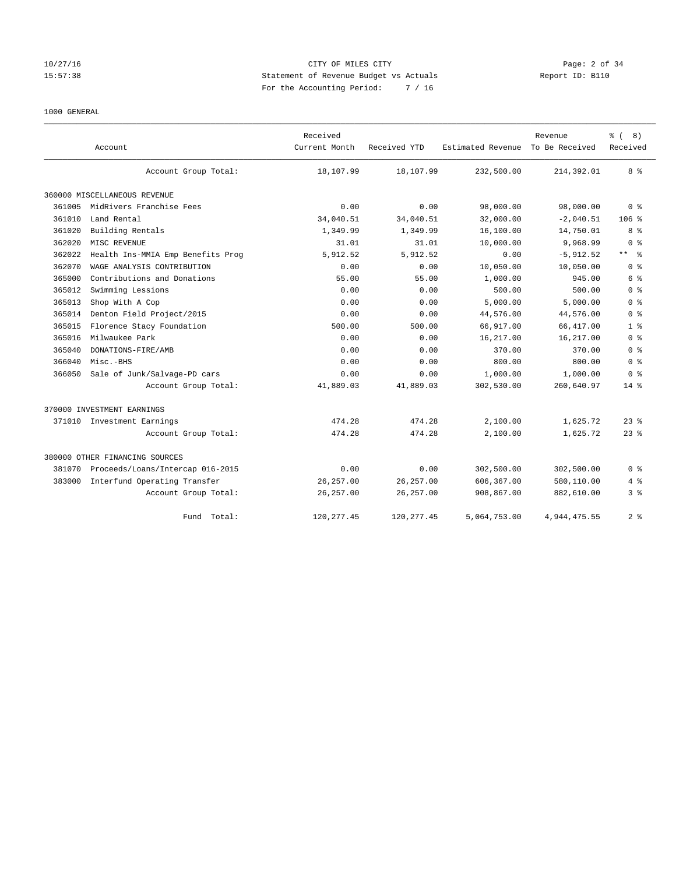# 10/27/16 CITY OF MILES CITY Page: 2 of 34 15:57:38 Statement of Revenue Budget vs Actuals Report ID: B110 For the Accounting Period: 7 / 16

#### 1000 GENERAL

|        |                                   | Received      |              |                   | Revenue        | $\frac{6}{6}$ (<br>8)     |
|--------|-----------------------------------|---------------|--------------|-------------------|----------------|---------------------------|
|        | Account                           | Current Month | Received YTD | Estimated Revenue | To Be Received | Received                  |
|        | Account Group Total:              | 18,107.99     | 18,107.99    | 232,500.00        | 214,392.01     | 8%                        |
|        | 360000 MISCELLANEOUS REVENUE      |               |              |                   |                |                           |
| 361005 | MidRivers Franchise Fees          | 0.00          | 0.00         | 98,000.00         | 98,000.00      | 0 <sup>8</sup>            |
| 361010 | Land Rental                       | 34,040.51     | 34,040.51    | 32,000.00         | $-2,040.51$    | 106%                      |
| 361020 | Building Rentals                  | 1,349.99      | 1,349.99     | 16,100.00         | 14,750.01      | 8 %                       |
| 362020 | MISC REVENUE                      | 31.01         | 31.01        | 10,000.00         | 9,968.99       | 0 <sup>8</sup>            |
| 362022 | Health Ins-MMIA Emp Benefits Prog | 5,912.52      | 5,912.52     | 0.00              | $-5,912.52$    | $\star\star$<br>$\approx$ |
| 362070 | WAGE ANALYSIS CONTRIBUTION        | 0.00          | 0.00         | 10,050.00         | 10,050.00      | 0 <sup>8</sup>            |
| 365000 | Contributions and Donations       | 55.00         | 55.00        | 1,000.00          | 945.00         | 6 %                       |
| 365012 | Swimming Lessions                 | 0.00          | 0.00         | 500.00            | 500.00         | 0 <sup>8</sup>            |
| 365013 | Shop With A Cop                   | 0.00          | 0.00         | 5,000.00          | 5,000.00       | 0 <sup>8</sup>            |
| 365014 | Denton Field Project/2015         | 0.00          | 0.00         | 44,576.00         | 44,576.00      | 0 <sup>8</sup>            |
| 365015 | Florence Stacy Foundation         | 500.00        | 500.00       | 66,917.00         | 66, 417.00     | 1 <sup>8</sup>            |
| 365016 | Milwaukee Park                    | 0.00          | 0.00         | 16,217.00         | 16,217.00      | 0 <sup>8</sup>            |
| 365040 | DONATIONS-FIRE/AMB                | 0.00          | 0.00         | 370.00            | 370.00         | 0 <sup>8</sup>            |
| 366040 | Misc.-BHS                         | 0.00          | 0.00         | 800.00            | 800.00         | 0 <sup>8</sup>            |
| 366050 | Sale of Junk/Salvage-PD cars      | 0.00          | 0.00         | 1,000.00          | 1,000.00       | 0 <sup>8</sup>            |
|        | Account Group Total:              | 41,889.03     | 41,889.03    | 302,530.00        | 260,640.97     | $14*$                     |
|        | 370000 INVESTMENT EARNINGS        |               |              |                   |                |                           |
|        | 371010 Investment Earnings        | 474.28        | 474.28       | 2,100.00          | 1,625.72       | $23$ $%$                  |
|        | Account Group Total:              | 474.28        | 474.28       | 2,100.00          | 1,625.72       | $23$ $%$                  |
|        | 380000 OTHER FINANCING SOURCES    |               |              |                   |                |                           |
| 381070 | Proceeds/Loans/Intercap 016-2015  | 0.00          | 0.00         | 302,500.00        | 302,500.00     | 0 <sup>8</sup>            |
| 383000 | Interfund Operating Transfer      | 26, 257.00    | 26, 257.00   | 606,367.00        | 580,110.00     | $4\degree$                |
|        | Account Group Total:              | 26, 257.00    | 26, 257.00   | 908,867.00        | 882,610.00     | 3 <sup>8</sup>            |
|        | Fund Total:                       | 120, 277.45   | 120, 277.45  | 5,064,753.00      | 4.944.475.55   | 2 <sup>8</sup>            |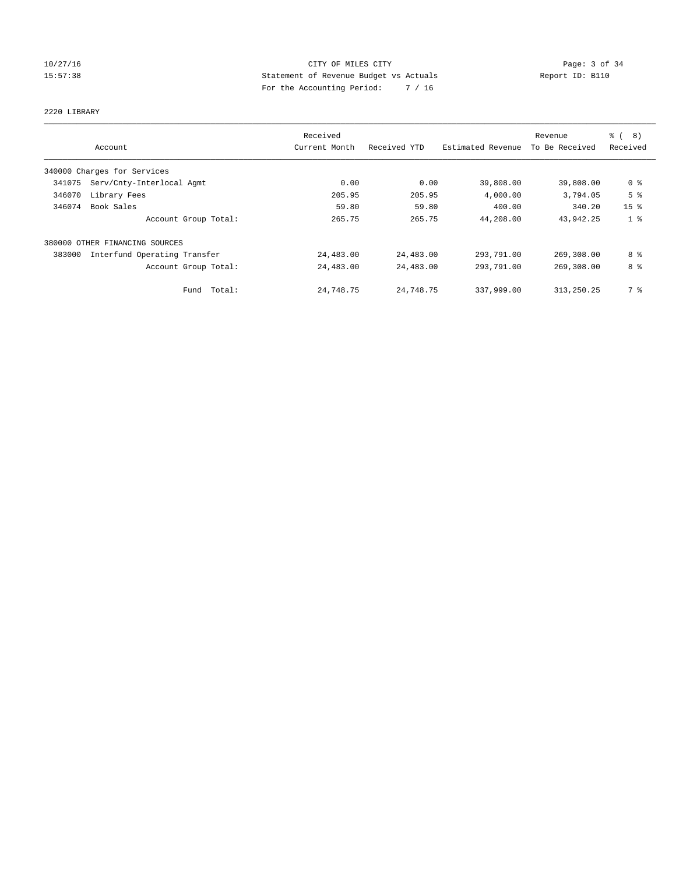# 10/27/16 CITY OF MILES CITY Page: 3 of 34 15:57:38 Statement of Revenue Budget vs Actuals Report ID: B110 For the Accounting Period: 7 / 16

#### 2220 LIBRARY

|        |                              | Received      |              |                   | Revenue        | $\frac{6}{6}$<br>8) |
|--------|------------------------------|---------------|--------------|-------------------|----------------|---------------------|
|        | Account                      | Current Month | Received YTD | Estimated Revenue | To Be Received | Received            |
|        | 340000 Charges for Services  |               |              |                   |                |                     |
| 341075 | Serv/Cnty-Interlocal Agmt    | 0.00          | 0.00         | 39,808.00         | 39,808.00      | 0 <sup>8</sup>      |
| 346070 | Library Fees                 | 205.95        | 205.95       | 4,000.00          | 3,794.05       | 5 <sup>8</sup>      |
| 346074 | Book Sales                   | 59.80         | 59.80        | 400.00            | 340.20         | 15 <sup>°</sup>     |
|        | Account Group Total:         | 265.75        | 265.75       | 44,208.00         | 43,942.25      | 1 <sup>8</sup>      |
| 380000 | OTHER FINANCING SOURCES      |               |              |                   |                |                     |
| 383000 | Interfund Operating Transfer | 24,483.00     | 24,483.00    | 293,791.00        | 269,308.00     | 8 %                 |
|        | Account Group Total:         | 24,483.00     | 24,483.00    | 293,791.00        | 269,308.00     | 8 %                 |
|        | Total:<br>Fund               | 24,748.75     | 24,748.75    | 337,999.00        | 313,250.25     | 7 %                 |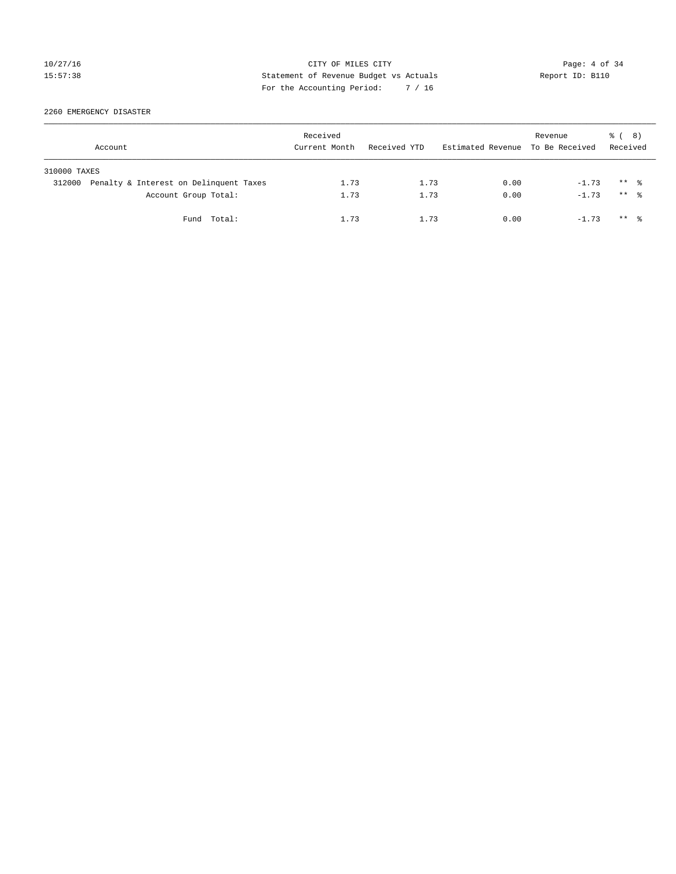# 10/27/16 CITY OF MILES CITY Page: 4 of 34 15:57:38 Statement of Revenue Budget vs Actuals Report ID: B110 For the Accounting Period: 7 / 16

2260 EMERGENCY DISASTER

|              | Account                                | Received<br>Current Month | Received YTD | Estimated Revenue To Be Received | Revenue | <sub>ර</sub> ි ( 8 )<br>Received |  |
|--------------|----------------------------------------|---------------------------|--------------|----------------------------------|---------|----------------------------------|--|
| 310000 TAXES |                                        |                           |              |                                  |         |                                  |  |
| 312000       | Penalty & Interest on Delinquent Taxes | 1.73                      | 1.73         | 0.00                             | $-1.73$ | $***$ $\frac{6}{10}$             |  |
|              | Account Group Total:                   | 1.73                      | 1.73         | 0.00                             | $-1.73$ | $***$ $\frac{6}{10}$             |  |
|              | Fund Total:                            | 1.73                      | 1.73         | 0.00                             | $-1.73$ | $***$ $\frac{6}{10}$             |  |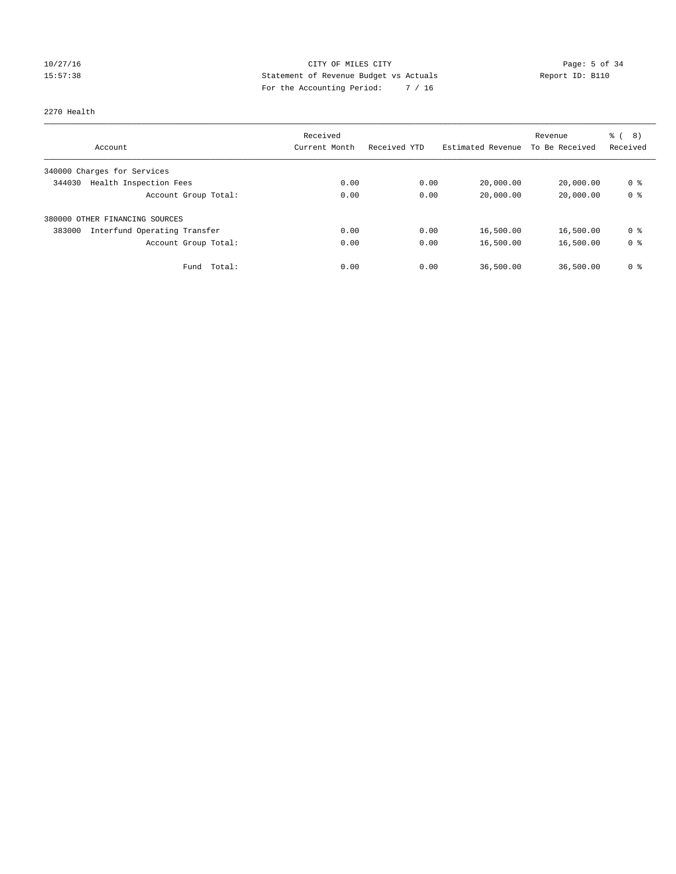# 10/27/16 CITY OF MILES CITY Page: 5 of 34 15:57:38 Statement of Revenue Budget vs Actuals Report ID: B110 For the Accounting Period: 7 / 16

#### 2270 Health

|                                        | Received      |              |                   | Revenue        | ී (<br>8)      |
|----------------------------------------|---------------|--------------|-------------------|----------------|----------------|
| Account                                | Current Month | Received YTD | Estimated Revenue | To Be Received | Received       |
| 340000 Charges for Services            |               |              |                   |                |                |
| Health Inspection Fees<br>344030       | 0.00          | 0.00         | 20,000.00         | 20,000.00      | 0 <sup>8</sup> |
| Account Group Total:                   | 0.00          | 0.00         | 20,000.00         | 20,000.00      | 0 <sup>8</sup> |
| 380000 OTHER FINANCING SOURCES         |               |              |                   |                |                |
| Interfund Operating Transfer<br>383000 | 0.00          | 0.00         | 16,500.00         | 16,500.00      | 0 <sup>8</sup> |
| Account Group Total:                   | 0.00          | 0.00         | 16,500.00         | 16,500.00      | 0 <sup>8</sup> |
| Fund Total:                            | 0.00          | 0.00         | 36,500.00         | 36,500.00      | 0 %            |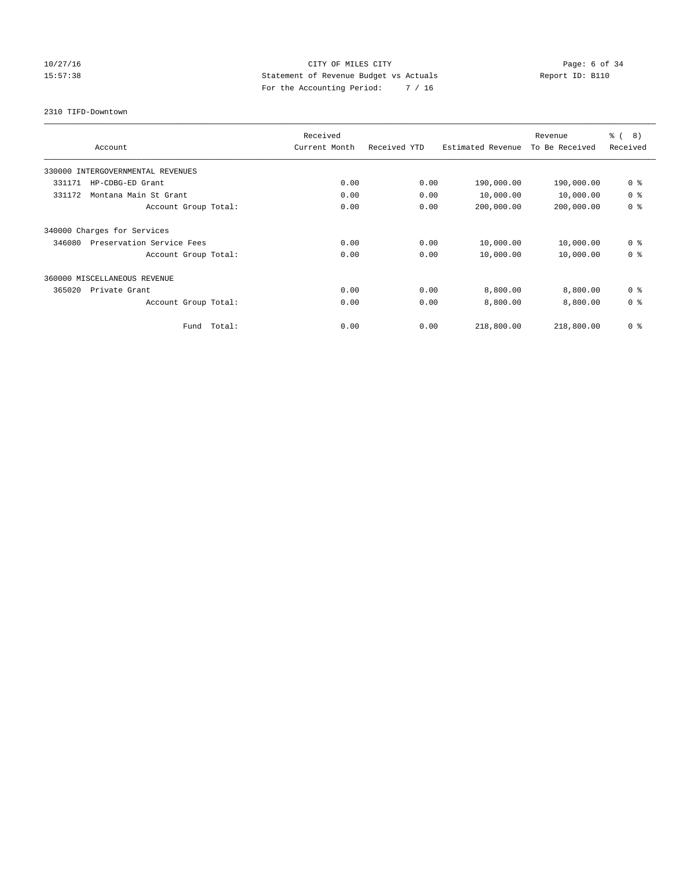# 10/27/16 CITY OF MILES CITY Page: 6 of 34 15:57:38 Statement of Revenue Budget vs Actuals Report ID: B110 For the Accounting Period: 7 / 16

2310 TIFD-Downtown

|                                     | Received      |              |                   | Revenue        | $\frac{6}{6}$ ( 8) |
|-------------------------------------|---------------|--------------|-------------------|----------------|--------------------|
| Account                             | Current Month | Received YTD | Estimated Revenue | To Be Received | Received           |
| 330000 INTERGOVERNMENTAL REVENUES   |               |              |                   |                |                    |
| 331171<br>HP-CDBG-ED Grant          | 0.00          | 0.00         | 190,000.00        | 190,000.00     | 0 <sup>8</sup>     |
| 331172<br>Montana Main St Grant     | 0.00          | 0.00         | 10,000.00         | 10,000.00      | 0 <sup>8</sup>     |
| Account Group Total:                | 0.00          | 0.00         | 200,000.00        | 200,000.00     | 0 <sup>8</sup>     |
| 340000 Charges for Services         |               |              |                   |                |                    |
| Preservation Service Fees<br>346080 | 0.00          | 0.00         | 10,000.00         | 10,000.00      | 0 <sup>8</sup>     |
| Account Group Total:                | 0.00          | 0.00         | 10,000.00         | 10,000.00      | 0 <sup>8</sup>     |
| 360000 MISCELLANEOUS REVENUE        |               |              |                   |                |                    |
| 365020<br>Private Grant             | 0.00          | 0.00         | 8,800.00          | 8,800.00       | 0 <sup>8</sup>     |
| Account Group Total:                | 0.00          | 0.00         | 8,800.00          | 8,800.00       | 0 <sup>8</sup>     |
| Total:<br>Fund                      | 0.00          | 0.00         | 218,800.00        | 218,800.00     | 0 <sup>8</sup>     |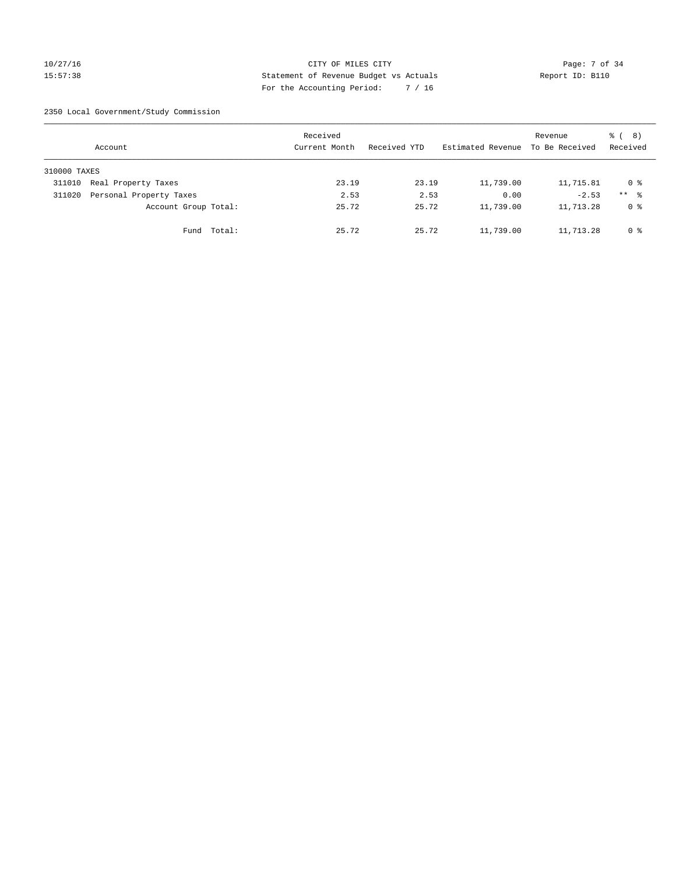#### 10/27/16 CITY OF MILES CITY Page: 7 of 34 15:57:38 Statement of Revenue Budget vs Actuals Report ID: B110 For the Accounting Period: 7 / 16

2350 Local Government/Study Commission

|              | Account                 |             | Received<br>Current Month |       | Received YTD |       | Estimated Revenue | Revenue<br>To Be Received | <sub>ර</sub> ි ( 8 )<br>Received |
|--------------|-------------------------|-------------|---------------------------|-------|--------------|-------|-------------------|---------------------------|----------------------------------|
| 310000 TAXES |                         |             |                           |       |              |       |                   |                           |                                  |
| 311010       | Real Property Taxes     |             |                           | 23.19 |              | 23.19 | 11,739.00         | 11,715.81                 | 0 %                              |
| 311020       | Personal Property Taxes |             |                           | 2.53  |              | 2.53  | 0.00              | $-2.53$                   | ** 8                             |
|              | Account Group Total:    |             |                           | 25.72 |              | 25.72 | 11,739.00         | 11,713.28                 | 0 %                              |
|              |                         | Fund Total: |                           | 25.72 |              | 25.72 | 11,739.00         | 11,713.28                 | 0 %                              |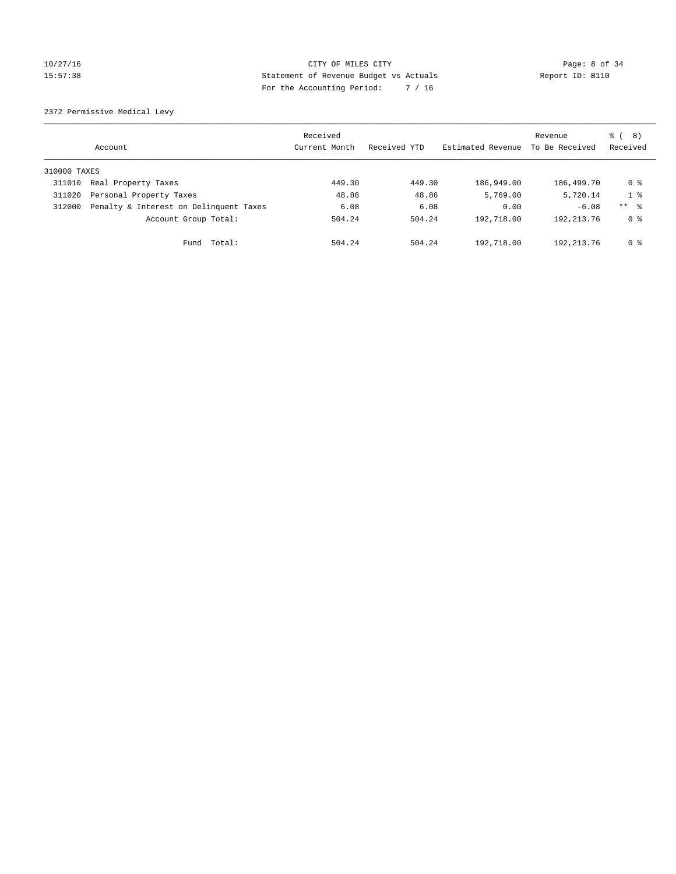#### 10/27/16 CITY OF MILES CITY Page: 8 of 34 15:57:38 Statement of Revenue Budget vs Actuals Report ID: B110 For the Accounting Period: 7 / 16

2372 Permissive Medical Levy

|              | Account                                | Received<br>Current Month | Received YTD | Estimated Revenue | Revenue<br>To Be Received | (8)<br>ී (<br>Received |
|--------------|----------------------------------------|---------------------------|--------------|-------------------|---------------------------|------------------------|
| 310000 TAXES |                                        |                           |              |                   |                           |                        |
| 311010       | Real Property Taxes                    | 449.30                    | 449.30       | 186,949.00        | 186,499.70                | 0 %                    |
| 311020       | Personal Property Taxes                | 48.86                     | 48.86        | 5,769.00          | 5,720.14                  | 1 <sup>8</sup>         |
| 312000       | Penalty & Interest on Delinquent Taxes | 6.08                      | 6.08         | 0.00              | $-6.08$                   | $***$ $\frac{6}{5}$    |
|              | Account Group Total:                   | 504.24                    | 504.24       | 192,718.00        | 192, 213. 76              | 0 %                    |
|              | Total:<br>Fund                         | 504.24                    | 504.24       | 192,718.00        | 192, 213.76               | 0 %                    |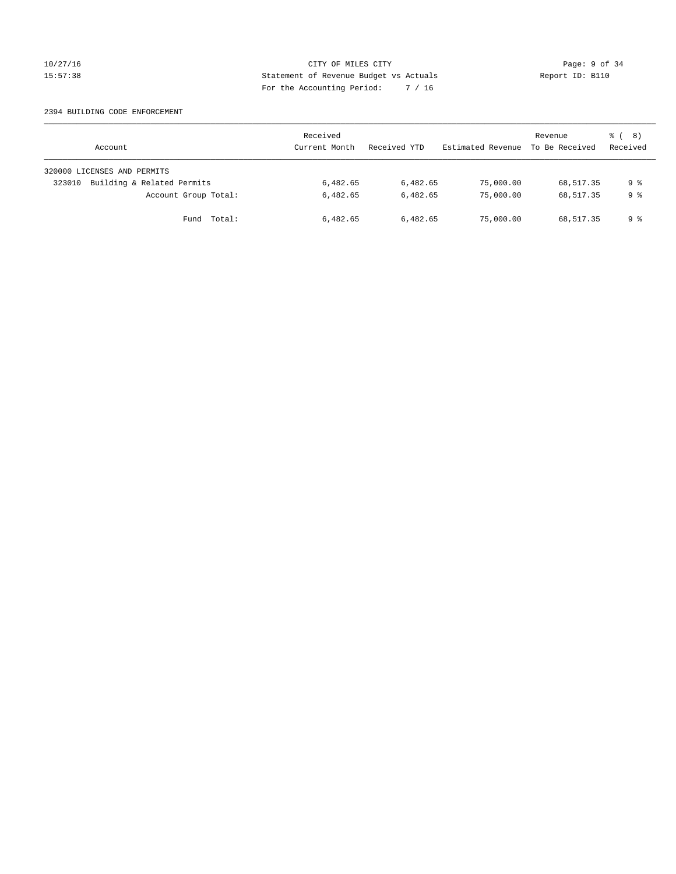#### 10/27/16 CITY OF MILES CITY Page: 9 of 34 15:57:38 Statement of Revenue Budget vs Actuals Report ID: B110 For the Accounting Period: 7 / 16

#### 2394 BUILDING CODE ENFORCEMENT

| Account                              | Received<br>Current Month | Received YTD | Estimated Revenue | Revenue<br>To Be Received | $\frac{6}{6}$ ( 8)<br>Received |
|--------------------------------------|---------------------------|--------------|-------------------|---------------------------|--------------------------------|
| 320000 LICENSES AND PERMITS          |                           |              |                   |                           |                                |
| Building & Related Permits<br>323010 | 6,482.65                  | 6,482.65     | 75,000.00         | 68,517.35                 | 9 %                            |
| Account Group Total:                 | 6,482.65                  | 6,482.65     | 75,000.00         | 68,517.35                 | 9 %                            |
| Fund Total:                          | 6,482.65                  | 6,482.65     | 75,000.00         | 68,517.35                 | 9 %                            |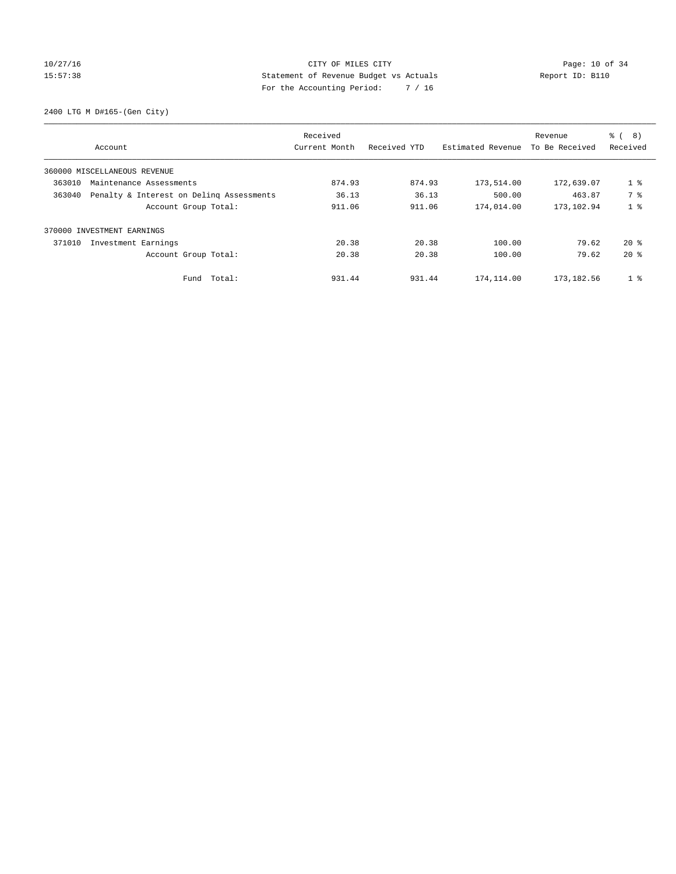# 10/27/16 Page: 10 of 34 15:57:38 Statement of Revenue Budget vs Actuals Report ID: B110 For the Accounting Period: 7 / 16

2400 LTG M D#165-(Gen City)

|        | Account                                  | Received<br>Current Month | Received YTD | Estimated Revenue | Revenue<br>To Be Received | ී (<br>8)<br>Received |
|--------|------------------------------------------|---------------------------|--------------|-------------------|---------------------------|-----------------------|
|        | 360000 MISCELLANEOUS REVENUE             |                           |              |                   |                           |                       |
| 363010 | Maintenance Assessments                  | 874.93                    | 874.93       | 173,514.00        | 172,639.07                | 1 <sup>8</sup>        |
| 363040 | Penalty & Interest on Deling Assessments | 36.13                     | 36.13        | 500.00            | 463.87                    | 7 %                   |
|        | Account Group Total:                     | 911.06                    | 911.06       | 174,014.00        | 173,102.94                | 1 <sub>8</sub>        |
| 370000 | INVESTMENT EARNINGS                      |                           |              |                   |                           |                       |
| 371010 | Investment Earnings                      | 20.38                     | 20.38        | 100.00            | 79.62                     | $20*$                 |
|        | Account Group Total:                     | 20.38                     | 20.38        | 100.00            | 79.62                     | $20*$                 |
|        | Fund Total:                              | 931.44                    | 931.44       | 174,114.00        | 173,182.56                | 1 <sup>°</sup>        |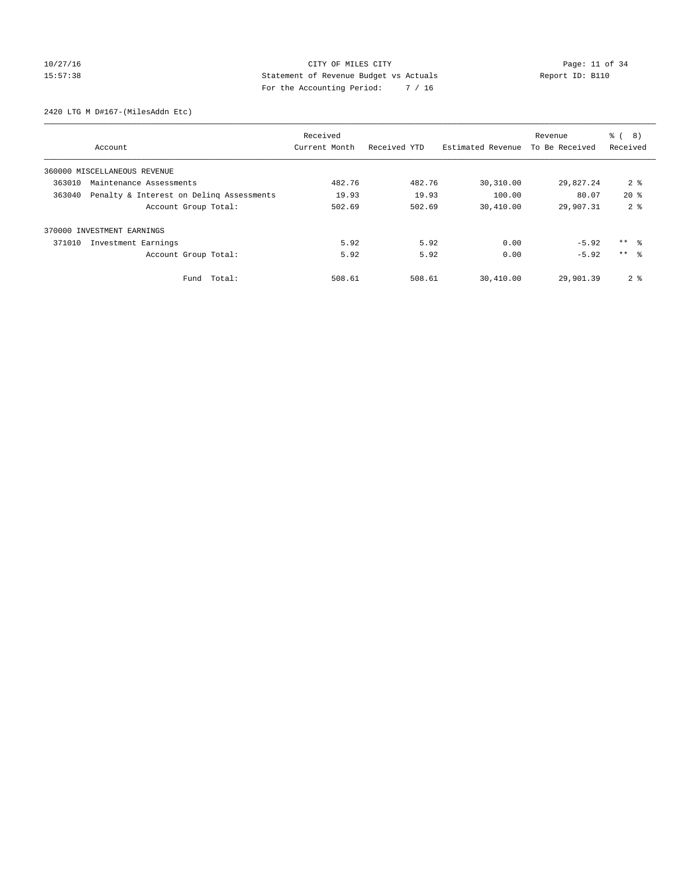# 10/27/16 Page: 11 of 34 15:57:38 Statement of Revenue Budget vs Actuals Report ID: B110 For the Accounting Period: 7 / 16

2420 LTG M D#167-(MilesAddn Etc)

|                                                    | Received      |              |                   | Revenue        | $\frac{6}{6}$<br>8) |
|----------------------------------------------------|---------------|--------------|-------------------|----------------|---------------------|
| Account                                            | Current Month | Received YTD | Estimated Revenue | To Be Received | Received            |
| 360000 MISCELLANEOUS REVENUE                       |               |              |                   |                |                     |
| 363010<br>Maintenance Assessments                  | 482.76        | 482.76       | 30,310.00         | 29,827.24      | 2 <sub>8</sub>      |
| 363040<br>Penalty & Interest on Deling Assessments | 19.93         | 19.93        | 100.00            | 80.07          | $20*$               |
| Account Group Total:                               | 502.69        | 502.69       | 30,410.00         | 29,907.31      | 2 <sub>8</sub>      |
| 370000 INVESTMENT EARNINGS                         |               |              |                   |                |                     |
| 371010<br>Investment Earnings                      | 5.92          | 5.92         | 0.00              | $-5.92$        | ** 왕                |
| Account Group Total:                               | 5.92          | 5.92         | 0.00              | $-5.92$        | $***$ $\approx$     |
| Total:<br>Fund                                     | 508.61        | 508.61       | 30,410.00         | 29,901.39      | 2 <sub>8</sub>      |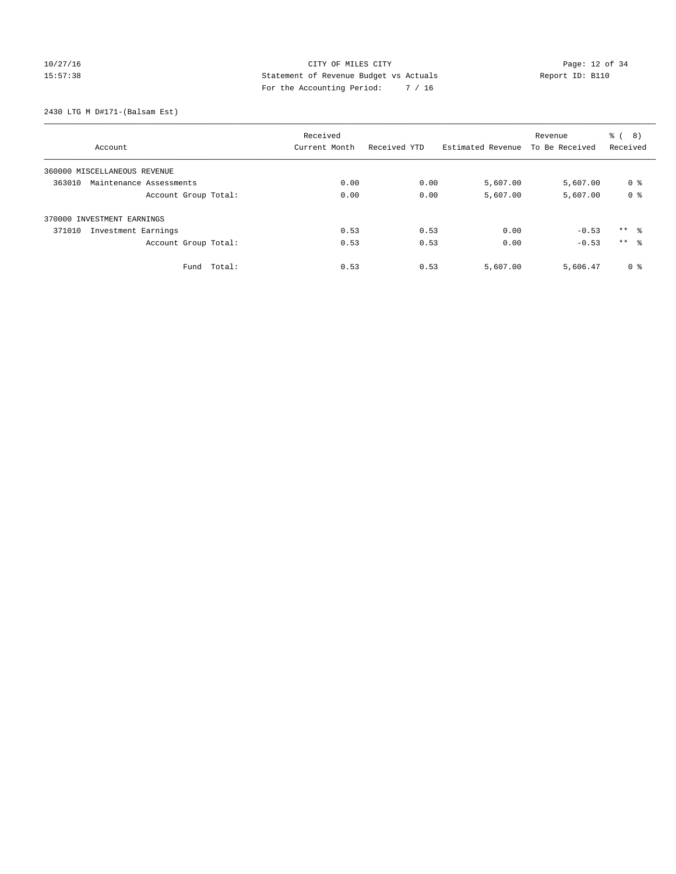# 10/27/16 Page: 12 of 34 15:57:38 Statement of Revenue Budget vs Actuals Report ID: B110 For the Accounting Period: 7 / 16

2430 LTG M D#171-(Balsam Est)

|                                   |             | Received      |              |                   | Revenue        | (8)<br>ී (      |
|-----------------------------------|-------------|---------------|--------------|-------------------|----------------|-----------------|
| Account                           |             | Current Month | Received YTD | Estimated Revenue | To Be Received | Received        |
| 360000 MISCELLANEOUS REVENUE      |             |               |              |                   |                |                 |
| 363010<br>Maintenance Assessments |             | 0.00          | 0.00         | 5,607.00          | 5,607.00       | 0 %             |
| Account Group Total:              |             | 0.00          | 0.00         | 5,607.00          | 5,607.00       | 0 <sup>8</sup>  |
| 370000 INVESTMENT EARNINGS        |             |               |              |                   |                |                 |
| 371010<br>Investment Earnings     |             | 0.53          | 0.53         | 0.00              | $-0.53$        | $***$ $\approx$ |
| Account Group Total:              |             | 0.53          | 0.53         | 0.00              | $-0.53$        | ** %            |
|                                   | Fund Total: | 0.53          | 0.53         | 5,607.00          | 5,606.47       | 0 <sup>8</sup>  |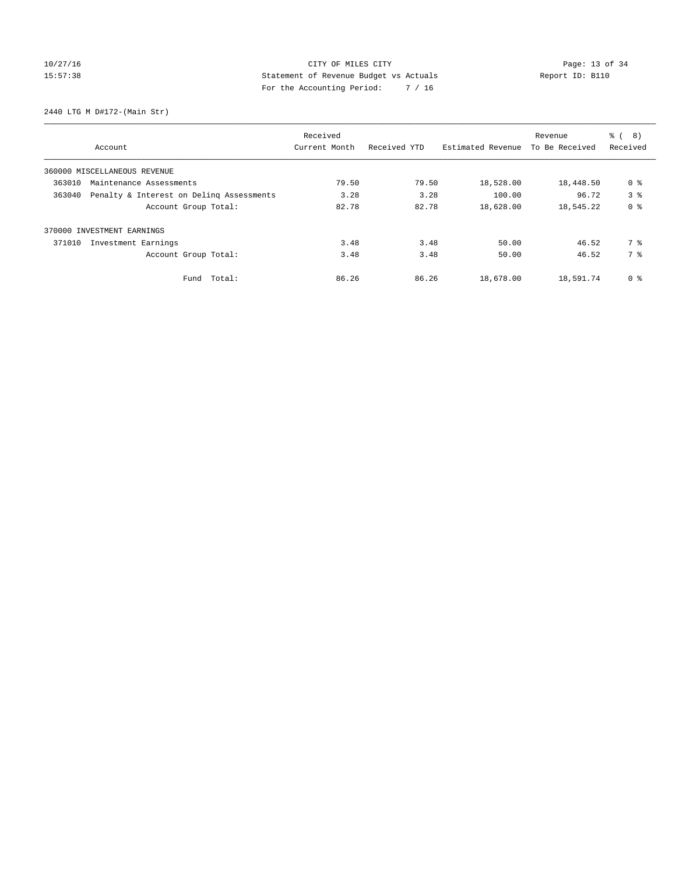# 10/27/16 Page: 13 of 34 15:57:38 Statement of Revenue Budget vs Actuals Report ID: B110 For the Accounting Period: 7 / 16

2440 LTG M D#172-(Main Str)

|        |                                          | Received      |              |                   | Revenue        | ී (<br>8)      |
|--------|------------------------------------------|---------------|--------------|-------------------|----------------|----------------|
|        | Account                                  | Current Month | Received YTD | Estimated Revenue | To Be Received | Received       |
|        | 360000 MISCELLANEOUS REVENUE             |               |              |                   |                |                |
| 363010 | Maintenance Assessments                  | 79.50         | 79.50        | 18,528.00         | 18,448.50      | 0 <sup>8</sup> |
| 363040 | Penalty & Interest on Deling Assessments | 3.28          | 3.28         | 100.00            | 96.72          | 3 <sup>8</sup> |
|        | Account Group Total:                     | 82.78         | 82.78        | 18,628.00         | 18,545.22      | 0 <sup>8</sup> |
| 370000 | INVESTMENT EARNINGS                      |               |              |                   |                |                |
| 371010 | Investment Earnings                      | 3.48          | 3.48         | 50.00             | 46.52          | 7 %            |
|        | Account Group Total:                     | 3.48          | 3.48         | 50.00             | 46.52          | 7 %            |
|        | Fund Total:                              | 86.26         | 86.26        | 18,678.00         | 18,591.74      | 0 %            |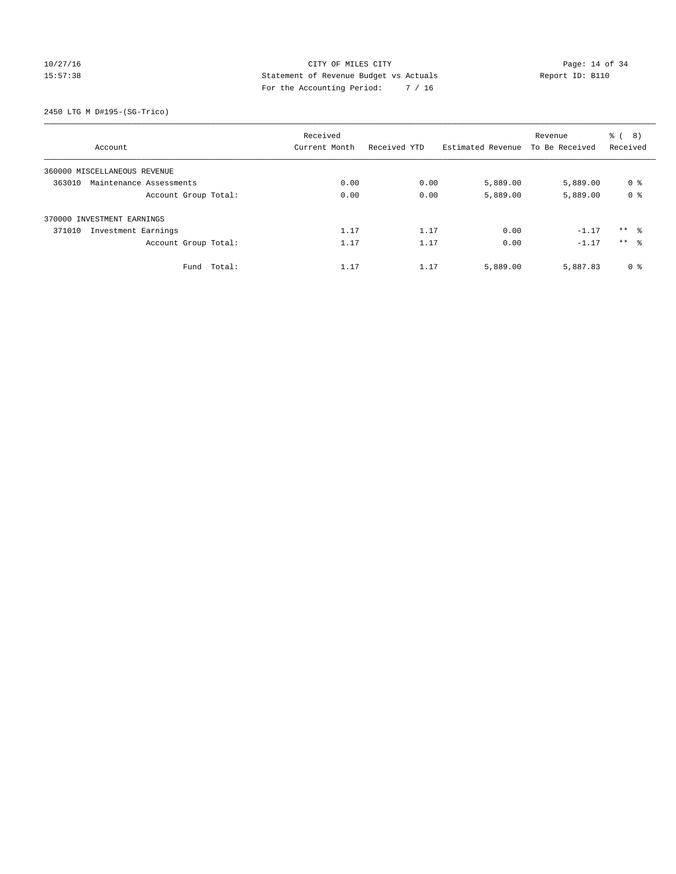# 10/27/16 Page: 14 of 34 15:57:38 Statement of Revenue Budget vs Actuals Report ID: B110 For the Accounting Period: 7 / 16

2450 LTG M D#195-(SG-Trico)

|                                   | Received      |              |                   | Revenue        | ී (<br>8)           |
|-----------------------------------|---------------|--------------|-------------------|----------------|---------------------|
| Account                           | Current Month | Received YTD | Estimated Revenue | To Be Received | Received            |
| 360000 MISCELLANEOUS REVENUE      |               |              |                   |                |                     |
| 363010<br>Maintenance Assessments | 0.00          | 0.00         | 5,889.00          | 5,889.00       | 0 <sup>8</sup>      |
| Account Group Total:              | 0.00          | 0.00         | 5,889.00          | 5,889.00       | 0 <sup>8</sup>      |
| 370000 INVESTMENT EARNINGS        |               |              |                   |                |                     |
| 371010<br>Investment Earnings     | 1.17          | 1.17         | 0.00              | $-1.17$        | $***$ $\frac{6}{3}$ |
| Account Group Total:              | 1.17          | 1.17         | 0.00              | $-1.17$        | ** %                |
| Fund Total:                       | 1.17          | 1.17         | 5,889.00          | 5,887.83       | 0 <sup>8</sup>      |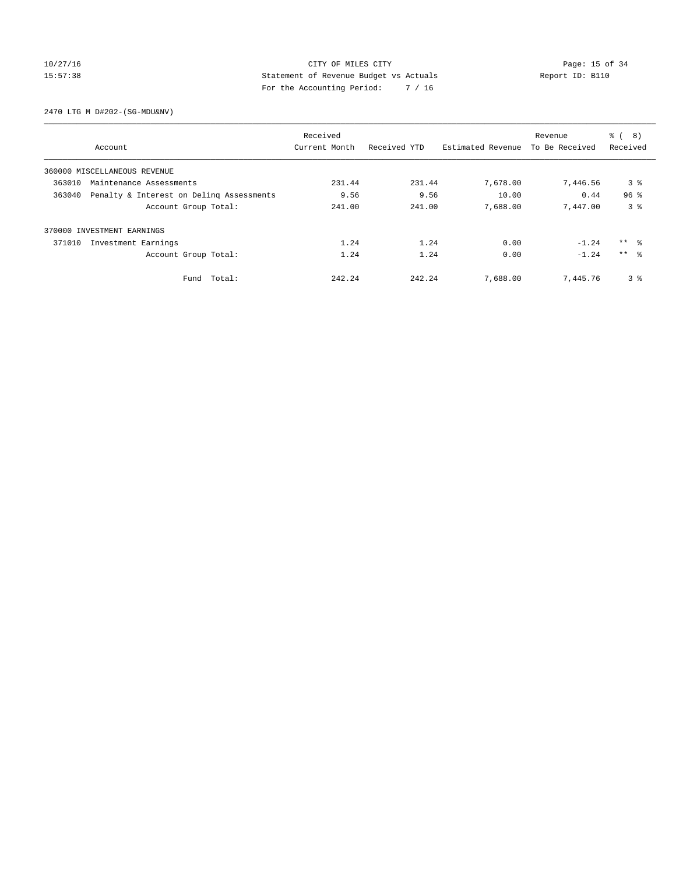# 10/27/16 Page: 15 of 34 15:57:38 Statement of Revenue Budget vs Actuals Report ID: B110 For the Accounting Period: 7 / 16

2470 LTG M D#202-(SG-MDU&NV)

|        |                                          | Received      |              |                   | Revenue        | る (<br>8)       |
|--------|------------------------------------------|---------------|--------------|-------------------|----------------|-----------------|
|        | Account                                  | Current Month | Received YTD | Estimated Revenue | To Be Received | Received        |
|        | 360000 MISCELLANEOUS REVENUE             |               |              |                   |                |                 |
| 363010 | Maintenance Assessments                  | 231.44        | 231.44       | 7,678.00          | 7,446.56       | 3 <sup>8</sup>  |
| 363040 | Penalty & Interest on Deling Assessments | 9.56          | 9.56         | 10.00             | 0.44           | 96 <sup>°</sup> |
|        | Account Group Total:                     | 241.00        | 241.00       | 7,688.00          | 7,447.00       | 3 <sup>8</sup>  |
|        | 370000 INVESTMENT EARNINGS               |               |              |                   |                |                 |
| 371010 | Investment Earnings                      | 1.24          | 1.24         | 0.00              | $-1.24$        | ** 왕            |
|        | Account Group Total:                     | 1.24          | 1.24         | 0.00              | $-1.24$        | $***$ $\approx$ |
|        | Fund Total:                              | 242.24        | 242.24       | 7,688.00          | 7,445.76       | 3 <sup>8</sup>  |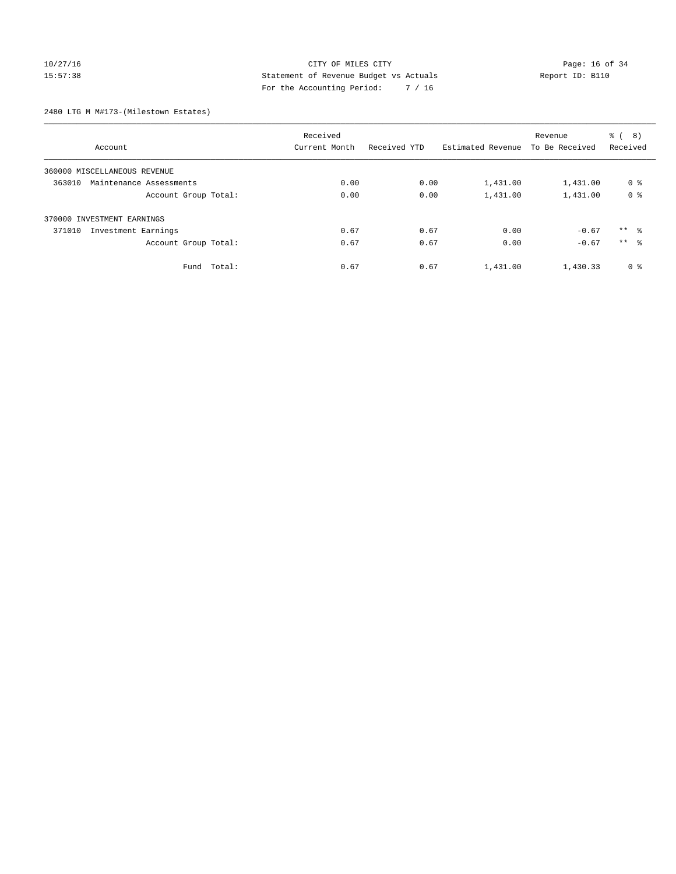# 10/27/16 **Page: 16 of 34** CITY OF MILES CITY **Page: 16 of 34** 15:57:38 Statement of Revenue Budget vs Actuals Report ID: B110 For the Accounting Period: 7 / 16

2480 LTG M M#173-(Milestown Estates)

|                                   | Received      |              |                   | Revenue        | ී (<br>(8)      |
|-----------------------------------|---------------|--------------|-------------------|----------------|-----------------|
| Account                           | Current Month | Received YTD | Estimated Revenue | To Be Received | Received        |
| 360000 MISCELLANEOUS REVENUE      |               |              |                   |                |                 |
| 363010<br>Maintenance Assessments | 0.00          | 0.00         | 1,431.00          | 1,431.00       | 0 <sup>8</sup>  |
| Account Group Total:              | 0.00          | 0.00         | 1,431.00          | 1,431.00       | 0 <sup>8</sup>  |
| 370000 INVESTMENT EARNINGS        |               |              |                   |                |                 |
| 371010<br>Investment Earnings     | 0.67          | 0.67         | 0.00              | $-0.67$        | $***$ $\approx$ |
| Account Group Total:              | 0.67          | 0.67         | 0.00              | $-0.67$        | $***$ $\approx$ |
| Fund Total:                       | 0.67          | 0.67         | 1,431.00          | 1,430.33       | 0 <sup>8</sup>  |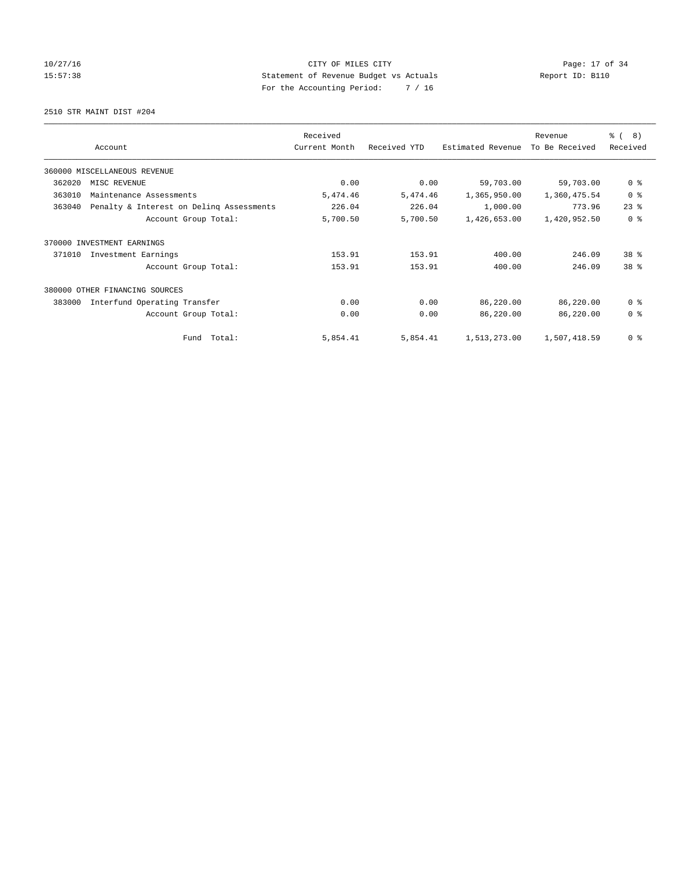# 10/27/16 Page: 17 of 34 15:57:38 Statement of Revenue Budget vs Actuals Report ID: B110 For the Accounting Period: 7 / 16

2510 STR MAINT DIST #204

|        |                                          | Received      |              |                   | Revenue        | $\frac{6}{6}$ ( 8) |
|--------|------------------------------------------|---------------|--------------|-------------------|----------------|--------------------|
|        | Account                                  | Current Month | Received YTD | Estimated Revenue | To Be Received | Received           |
|        | 360000 MISCELLANEOUS REVENUE             |               |              |                   |                |                    |
| 362020 | MISC REVENUE                             | 0.00          | 0.00         | 59,703.00         | 59,703.00      | 0 <sup>8</sup>     |
| 363010 | Maintenance Assessments                  | 5,474.46      | 5,474.46     | 1,365,950.00      | 1,360,475.54   | 0 <sup>8</sup>     |
| 363040 | Penalty & Interest on Deling Assessments | 226.04        | 226.04       | 1,000.00          | 773.96         | $23$ $%$           |
|        | Account Group Total:                     | 5,700.50      | 5,700.50     | 1,426,653.00      | 1,420,952.50   | 0 <sup>8</sup>     |
| 370000 | INVESTMENT EARNINGS                      |               |              |                   |                |                    |
| 371010 | Investment Earnings                      | 153.91        | 153.91       | 400.00            | 246.09         | $38*$              |
|        | Account Group Total:                     | 153.91        | 153.91       | 400.00            | 246.09         | 38 <sup>8</sup>    |
|        | 380000 OTHER FINANCING SOURCES           |               |              |                   |                |                    |
| 383000 | Interfund Operating Transfer             | 0.00          | 0.00         | 86,220.00         | 86,220.00      | 0 <sup>8</sup>     |
|        | Account Group Total:                     | 0.00          | 0.00         | 86,220.00         | 86,220.00      | 0 <sup>8</sup>     |
|        | Fund Total:                              | 5,854.41      | 5,854.41     | 1,513,273.00      | 1,507,418.59   | 0 <sup>8</sup>     |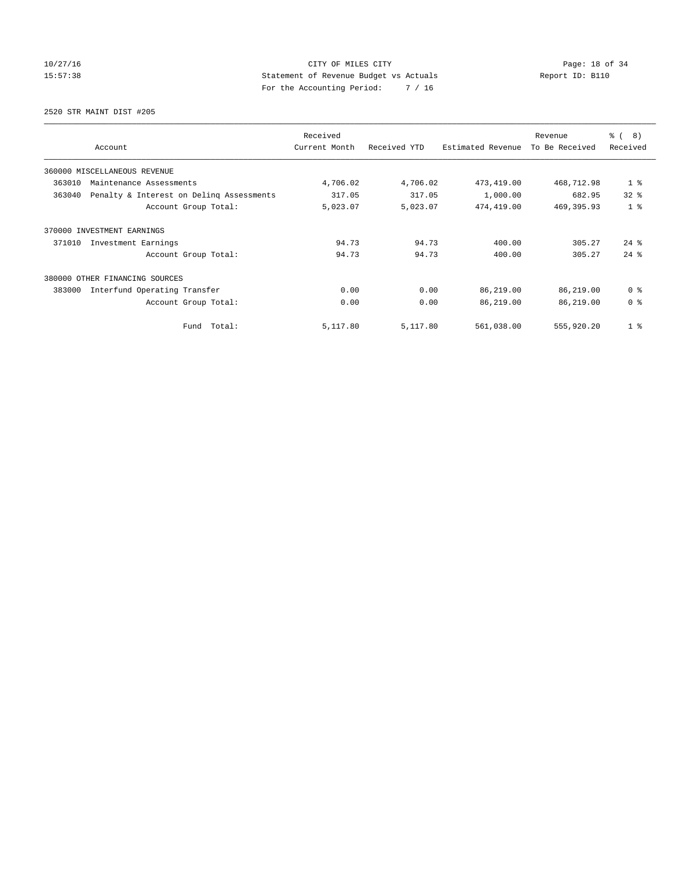# 10/27/16 Page: 18 of 34 15:57:38 Statement of Revenue Budget vs Actuals Report ID: B110 For the Accounting Period: 7 / 16

2520 STR MAINT DIST #205

| Account                                            | Received<br>Current Month | Received YTD | Estimated Revenue | Revenue<br>To Be Received | $\frac{6}{6}$ ( 8)<br>Received |
|----------------------------------------------------|---------------------------|--------------|-------------------|---------------------------|--------------------------------|
| 360000 MISCELLANEOUS REVENUE                       |                           |              |                   |                           |                                |
| 363010<br>Maintenance Assessments                  | 4,706.02                  | 4,706.02     | 473, 419.00       | 468,712.98                | 1 <sub>8</sub>                 |
| 363040<br>Penalty & Interest on Deling Assessments | 317.05                    | 317.05       | 1,000.00          | 682.95                    | 32 <sup>8</sup>                |
| Account Group Total:                               | 5,023.07                  | 5,023.07     | 474,419.00        | 469, 395.93               | 1 <sup>8</sup>                 |
| 370000<br>INVESTMENT EARNINGS                      |                           |              |                   |                           |                                |
| 371010<br>Investment Earnings                      | 94.73                     | 94.73        | 400.00            | 305.27                    | $24$ $\frac{6}{3}$             |
| Account Group Total:                               | 94.73                     | 94.73        | 400.00            | 305.27                    | $24$ $%$                       |
| 380000 OTHER FINANCING SOURCES                     |                           |              |                   |                           |                                |
| 383000<br>Interfund Operating Transfer             | 0.00                      | 0.00         | 86,219.00         | 86,219.00                 | 0 <sup>8</sup>                 |
| Account Group Total:                               | 0.00                      | 0.00         | 86,219.00         | 86,219.00                 | 0 <sup>8</sup>                 |
| Fund Total:                                        | 5,117.80                  | 5,117.80     | 561,038.00        | 555,920.20                | 1 <sup>8</sup>                 |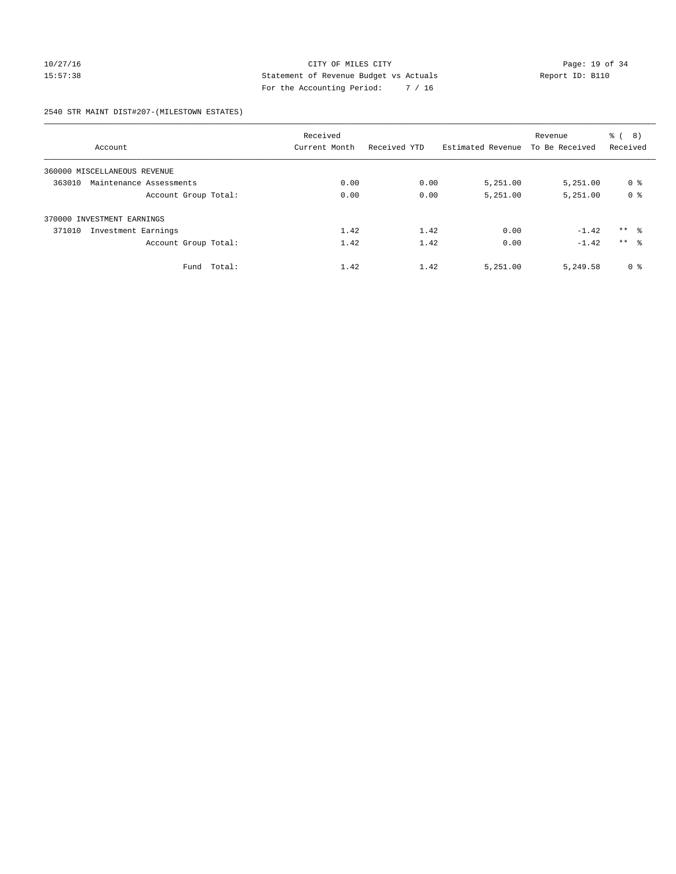# 10/27/16 Page: 19 of 34 15:57:38 Statement of Revenue Budget vs Actuals Report ID: B110 For the Accounting Period: 7 / 16

2540 STR MAINT DIST#207-(MILESTOWN ESTATES)

|                                   | Received      |              |                   | Revenue        | ී (<br>(8)      |
|-----------------------------------|---------------|--------------|-------------------|----------------|-----------------|
| Account                           | Current Month | Received YTD | Estimated Revenue | To Be Received | Received        |
| 360000 MISCELLANEOUS REVENUE      |               |              |                   |                |                 |
| 363010<br>Maintenance Assessments | 0.00          | 0.00         | 5,251.00          | 5,251.00       | 0 <sup>8</sup>  |
| Account Group Total:              | 0.00          | 0.00         | 5,251.00          | 5,251.00       | 0 <sup>8</sup>  |
| 370000 INVESTMENT EARNINGS        |               |              |                   |                |                 |
| Investment Earnings<br>371010     | 1.42          | 1.42         | 0.00              | $-1.42$        | $***$ $\approx$ |
| Account Group Total:              | 1.42          | 1.42         | 0.00              | $-1.42$        | $***$ $\approx$ |
| Fund Total:                       | 1.42          | 1.42         | 5,251.00          | 5,249.58       | 0 <sup>8</sup>  |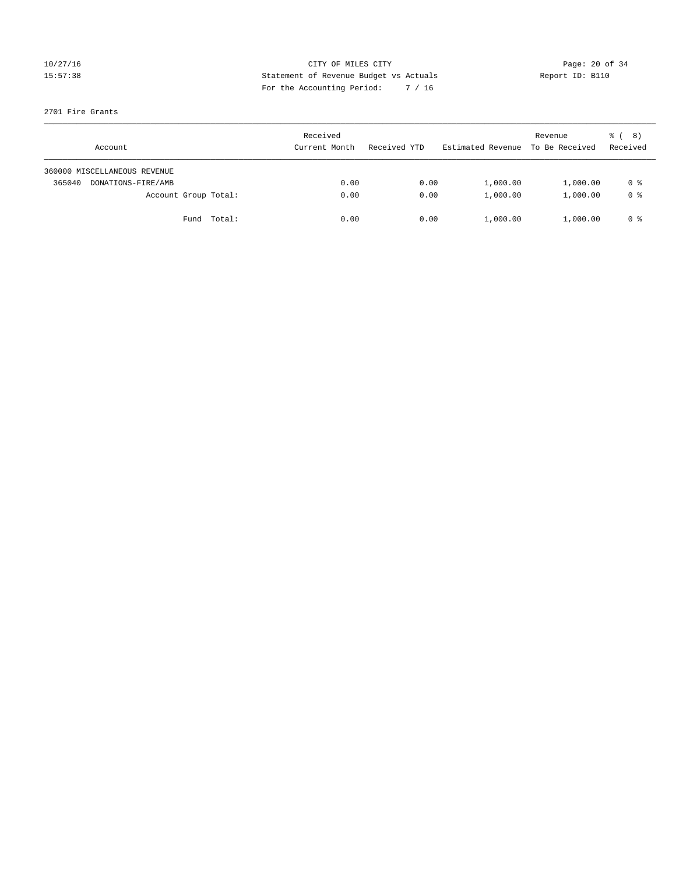# 10/27/16 Page: 20 of 34 15:57:38 Statement of Revenue Budget vs Actuals Report ID: B110 For the Accounting Period: 7 / 16

#### 2701 Fire Grants

| Account                      | Received<br>Current Month | Received YTD | Estimated Revenue | Revenue<br>To Be Received | <sub>ර</sub> ි ( 8 )<br>Received |
|------------------------------|---------------------------|--------------|-------------------|---------------------------|----------------------------------|
| 360000 MISCELLANEOUS REVENUE |                           |              |                   |                           |                                  |
| 365040<br>DONATIONS-FIRE/AMB | 0.00                      | 0.00         | 1,000.00          | 1,000.00                  | 0 %                              |
| Account Group Total:         | 0.00                      | 0.00         | 1,000.00          | 1,000.00                  | 0 %                              |
| Fund Total:                  | 0.00                      | 0.00         | 1,000.00          | 1,000.00                  | 0 %                              |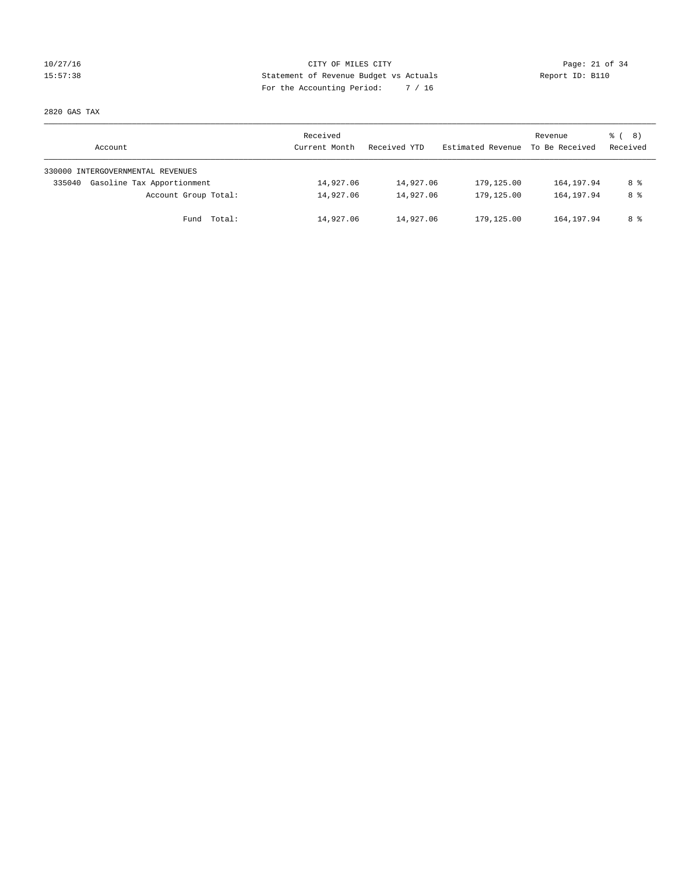# 10/27/16 Page: 21 of 34 15:57:38 Statement of Revenue Budget vs Actuals Report ID: B110 For the Accounting Period: 7 / 16

2820 GAS TAX

| Account                              | Received<br>Current Month | Received YTD | Estimated Revenue | Revenue<br>To Be Received | $\frac{6}{6}$ ( 8)<br>Received |
|--------------------------------------|---------------------------|--------------|-------------------|---------------------------|--------------------------------|
| 330000 INTERGOVERNMENTAL REVENUES    |                           |              |                   |                           |                                |
| Gasoline Tax Apportionment<br>335040 | 14,927.06                 | 14,927.06    | 179,125.00        | 164,197.94                | 8 %                            |
| Account Group Total:                 | 14,927.06                 | 14,927.06    | 179,125.00        | 164,197.94                | 8 %                            |
| Fund Total:                          | 14,927.06                 | 14,927.06    | 179,125.00        | 164, 197.94               | 8 %                            |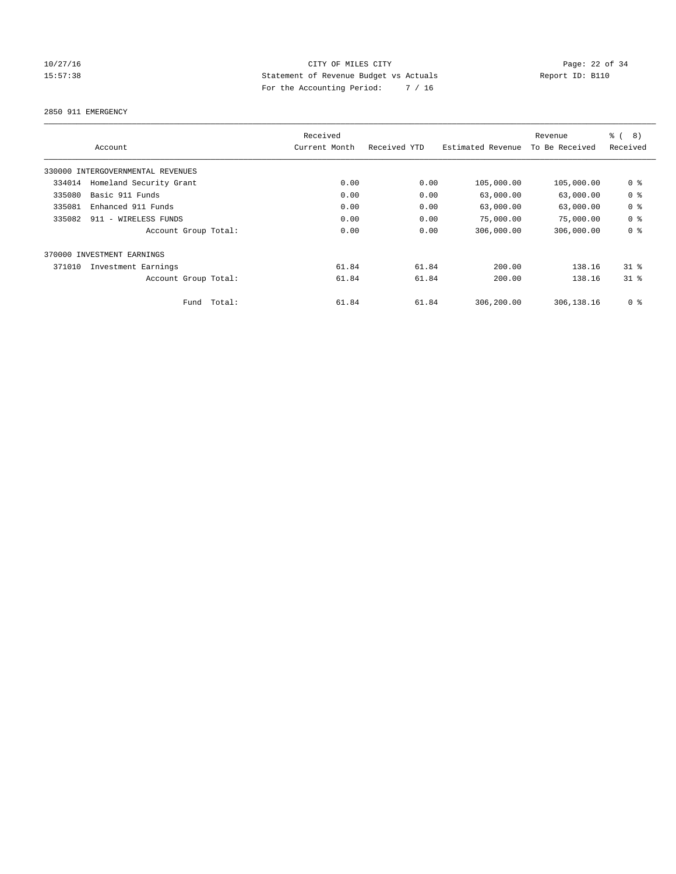# 10/27/16 Page: 22 of 34 15:57:38 Statement of Revenue Budget vs Actuals Report ID: B110 For the Accounting Period: 7 / 16

2850 911 EMERGENCY

|        | Account                           |        | Received<br>Current Month | Received YTD | Estimated Revenue | Revenue<br>To Be Received | $\frac{6}{6}$<br>8)<br>Received |
|--------|-----------------------------------|--------|---------------------------|--------------|-------------------|---------------------------|---------------------------------|
|        | 330000 INTERGOVERNMENTAL REVENUES |        |                           |              |                   |                           |                                 |
| 334014 | Homeland Security Grant           |        | 0.00                      | 0.00         | 105,000.00        | 105,000.00                | 0 <sup>8</sup>                  |
| 335080 | Basic 911 Funds                   |        | 0.00                      | 0.00         | 63,000.00         | 63,000.00                 | 0 <sup>8</sup>                  |
| 335081 | Enhanced 911 Funds                |        | 0.00                      | 0.00         | 63,000.00         | 63,000.00                 | 0 <sup>8</sup>                  |
| 335082 | 911 - WIRELESS FUNDS              |        | 0.00                      | 0.00         | 75,000.00         | 75,000.00                 | 0 <sup>8</sup>                  |
|        | Account Group Total:              |        | 0.00                      | 0.00         | 306,000.00        | 306,000.00                | 0 <sup>8</sup>                  |
|        | 370000 INVESTMENT EARNINGS        |        |                           |              |                   |                           |                                 |
| 371010 | Investment Earnings               |        | 61.84                     | 61.84        | 200.00            | 138.16                    | $31*$                           |
|        | Account Group Total:              |        | 61.84                     | 61.84        | 200.00            | 138.16                    | 31.8                            |
|        | Fund                              | Total: | 61.84                     | 61.84        | 306,200.00        | 306,138.16                | 0 <sup>8</sup>                  |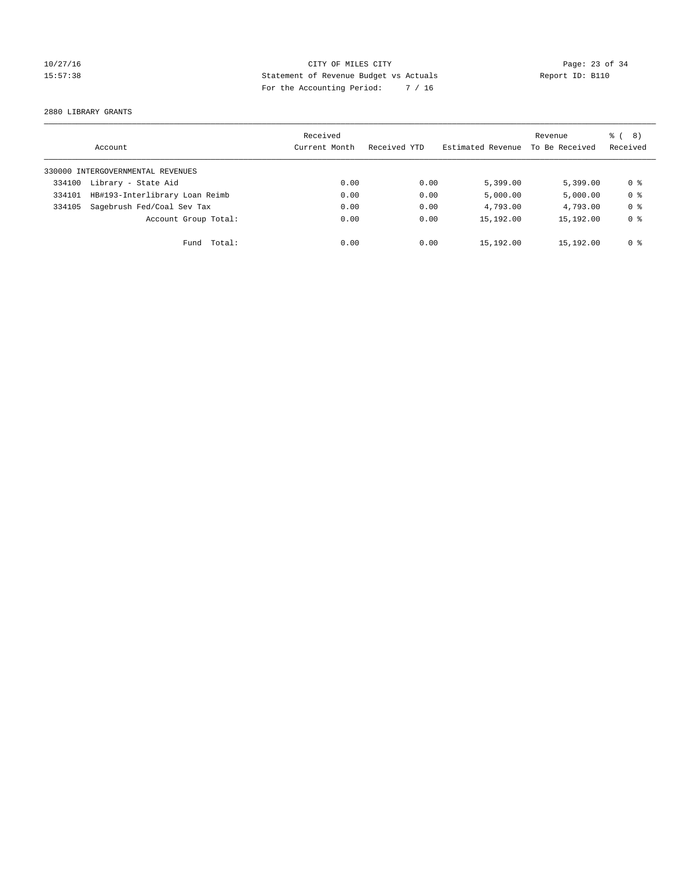# 10/27/16 Page: 23 of 34 15:57:38 Statement of Revenue Budget vs Actuals Report ID: B110 For the Accounting Period: 7 / 16

2880 LIBRARY GRANTS

|        | Account                           | Received<br>Current Month | Received YTD | Estimated Revenue | Revenue<br>To Be Received | $\frac{6}{6}$ ( 8)<br>Received |
|--------|-----------------------------------|---------------------------|--------------|-------------------|---------------------------|--------------------------------|
|        | 330000 INTERGOVERNMENTAL REVENUES |                           |              |                   |                           |                                |
| 334100 | Library - State Aid               | 0.00                      | 0.00         | 5,399.00          | 5.399.00                  | 0 ક                            |
| 334101 | HB#193-Interlibrary Loan Reimb    | 0.00                      | 0.00         | 5,000.00          | 5,000.00                  | 0 <sup>8</sup>                 |
| 334105 | Sagebrush Fed/Coal Sev Tax        | 0.00                      | 0.00         | 4,793.00          | 4,793.00                  | 0 <sup>8</sup>                 |
|        | Account Group Total:              | 0.00                      | 0.00         | 15,192.00         | 15,192.00                 | 0 <sup>8</sup>                 |
|        | Fund Total:                       | 0.00                      | 0.00         | 15,192.00         | 15,192.00                 | 0 %                            |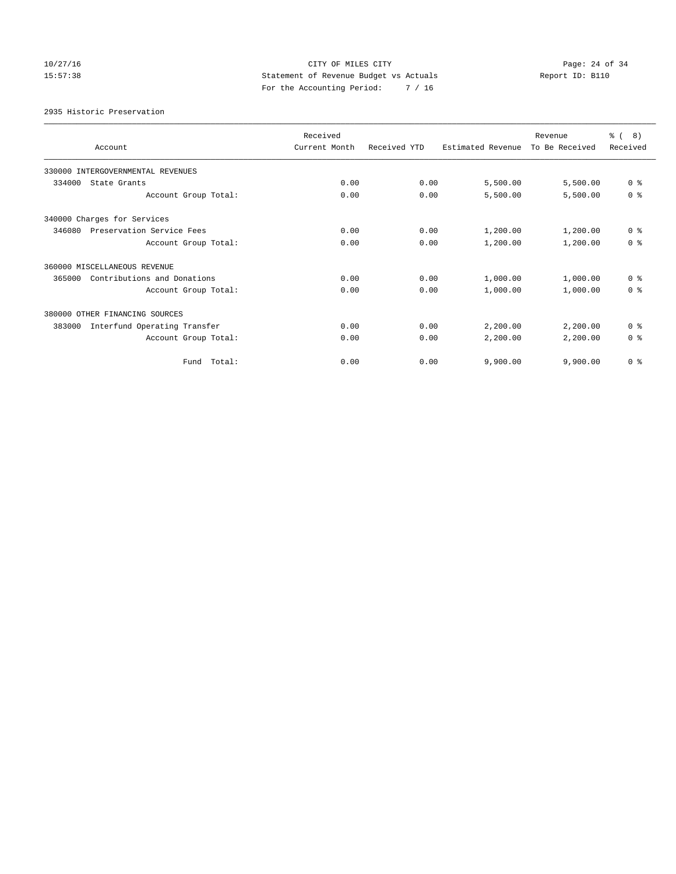# 10/27/16 Page: 24 of 34 15:57:38 Statement of Revenue Budget vs Actuals Report ID: B110 For the Accounting Period: 7 / 16

2935 Historic Preservation

| Account                                | Received<br>Current Month | Received YTD | Estimated Revenue | Revenue<br>To Be Received | ී (<br>8)<br>Received |
|----------------------------------------|---------------------------|--------------|-------------------|---------------------------|-----------------------|
| 330000 INTERGOVERNMENTAL REVENUES      |                           |              |                   |                           |                       |
| 334000<br>State Grants                 | 0.00                      | 0.00         | 5,500.00          | 5,500.00                  | 0 <sup>8</sup>        |
| Account Group Total:                   | 0.00                      | 0.00         | 5,500.00          | 5,500.00                  | 0 <sup>8</sup>        |
| 340000 Charges for Services            |                           |              |                   |                           |                       |
| 346080<br>Preservation Service Fees    | 0.00                      | 0.00         | 1,200.00          | 1,200.00                  | 0 <sup>8</sup>        |
| Account Group Total:                   | 0.00                      | 0.00         | 1,200.00          | 1,200.00                  | 0 <sup>8</sup>        |
| 360000 MISCELLANEOUS REVENUE           |                           |              |                   |                           |                       |
| Contributions and Donations<br>365000  | 0.00                      | 0.00         | 1,000.00          | 1,000.00                  | 0 <sup>8</sup>        |
| Account Group Total:                   | 0.00                      | 0.00         | 1,000.00          | 1,000.00                  | 0 <sup>8</sup>        |
| 380000 OTHER FINANCING SOURCES         |                           |              |                   |                           |                       |
| Interfund Operating Transfer<br>383000 | 0.00                      | 0.00         | 2,200.00          | 2,200.00                  | 0 <sup>8</sup>        |
| Account Group Total:                   | 0.00                      | 0.00         | 2,200.00          | 2,200.00                  | 0 <sup>8</sup>        |
| Total:<br>Fund                         | 0.00                      | 0.00         | 9,900.00          | 9,900.00                  | 0 <sup>8</sup>        |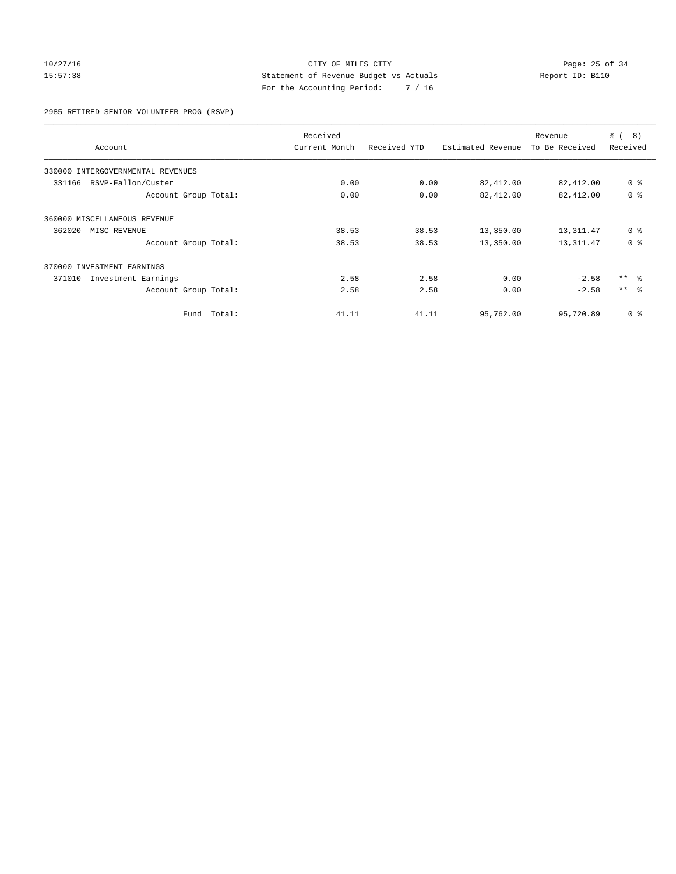#### 10/27/16 Page: 25 of 34 15:57:38 Statement of Revenue Budget vs Actuals Report ID: B110 For the Accounting Period: 7 / 16

2985 RETIRED SENIOR VOLUNTEER PROG (RSVP)

|                                      | Received      |              |                   | Revenue        | ී (<br>8)       |
|--------------------------------------|---------------|--------------|-------------------|----------------|-----------------|
| Account                              | Current Month | Received YTD | Estimated Revenue | To Be Received | Received        |
| INTERGOVERNMENTAL REVENUES<br>330000 |               |              |                   |                |                 |
| RSVP-Fallon/Custer<br>331166         | 0.00          | 0.00         | 82,412.00         | 82,412.00      | 0 <sup>8</sup>  |
| Account Group Total:                 | 0.00          | 0.00         | 82,412.00         | 82,412.00      | 0 <sup>8</sup>  |
| 360000 MISCELLANEOUS REVENUE         |               |              |                   |                |                 |
| 362020<br>MISC REVENUE               | 38.53         | 38.53        | 13,350.00         | 13,311.47      | 0 <sup>8</sup>  |
| Account Group Total:                 | 38.53         | 38.53        | 13,350.00         | 13, 311.47     | 0 <sup>8</sup>  |
| 370000 INVESTMENT EARNINGS           |               |              |                   |                |                 |
| Investment Earnings<br>371010        | 2.58          | 2.58         | 0.00              | $-2.58$        | $***$ $ -$      |
| Account Group Total:                 | 2.58          | 2.58         | 0.00              | $-2.58$        | $***$ $\approx$ |
| Fund Total:                          | 41.11         | 41.11        | 95,762.00         | 95,720.89      | 0 <sup>8</sup>  |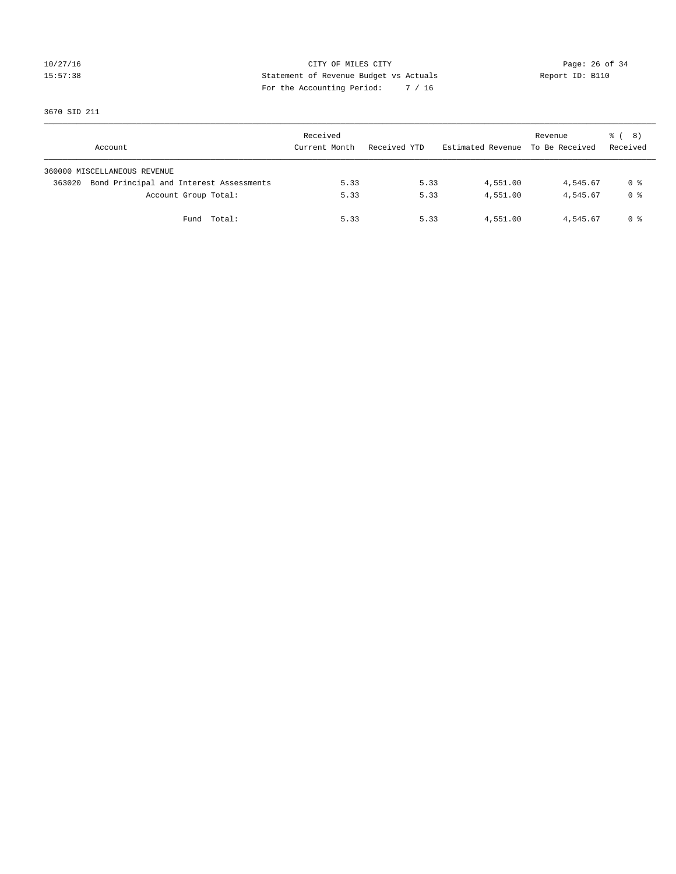# 10/27/16 Page: 26 of 34 15:57:38 Statement of Revenue Budget vs Actuals Report ID: B110 For the Accounting Period: 7 / 16

3670 SID 211

| Account                                           | Received<br>Current Month | Received YTD | Estimated Revenue To Be Received | Revenue  | $\frac{6}{6}$ ( 8)<br>Received |
|---------------------------------------------------|---------------------------|--------------|----------------------------------|----------|--------------------------------|
| 360000 MISCELLANEOUS REVENUE                      |                           |              |                                  |          |                                |
| Bond Principal and Interest Assessments<br>363020 | 5.33                      | 5.33         | 4,551.00                         | 4,545.67 | 0 %                            |
| Account Group Total:                              | 5.33                      | 5.33         | 4,551.00                         | 4,545.67 | 0 %                            |
| Fund Total:                                       | 5.33                      | 5.33         | 4,551.00                         | 4,545.67 | 0 %                            |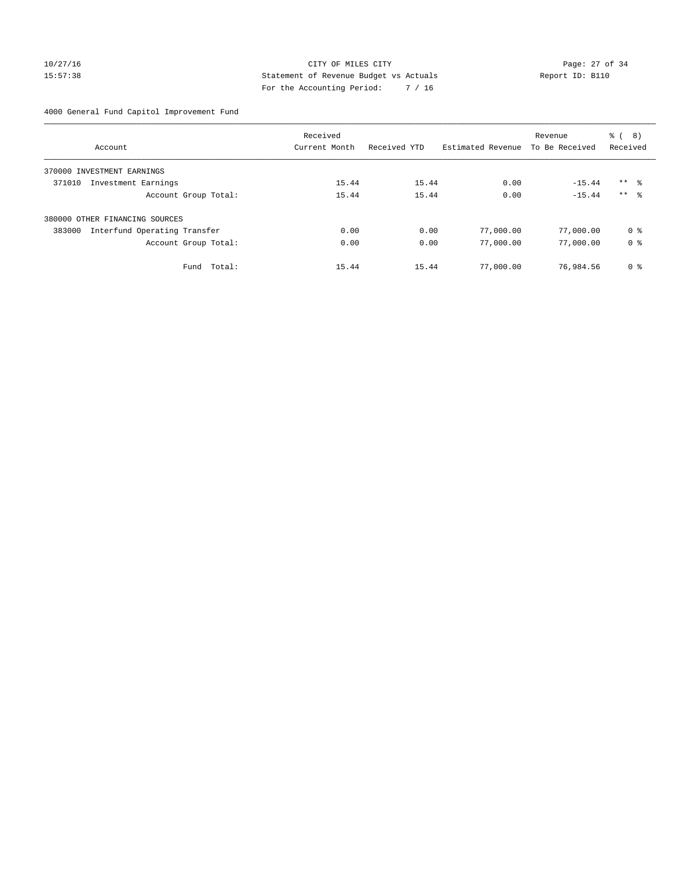#### 10/27/16 Page: 27 of 34 15:57:38 Statement of Revenue Budget vs Actuals Report ID: B110 For the Accounting Period: 7 / 16

4000 General Fund Capitol Improvement Fund

|                                        | Received      |              |                   | Revenue        | る (<br>8)           |
|----------------------------------------|---------------|--------------|-------------------|----------------|---------------------|
| Account                                | Current Month | Received YTD | Estimated Revenue | To Be Received | Received            |
| INVESTMENT EARNINGS<br>370000          |               |              |                   |                |                     |
| 371010<br>Investment Earnings          | 15.44         | 15.44        | 0.00              | $-15.44$       | $***$ $\frac{6}{3}$ |
| Account Group Total:                   | 15.44         | 15.44        | 0.00              | $-15.44$       | $***$ $\approx$     |
| 380000 OTHER FINANCING SOURCES         |               |              |                   |                |                     |
| Interfund Operating Transfer<br>383000 | 0.00          | 0.00         | 77,000.00         | 77,000.00      | 0 %                 |
| Account Group Total:                   | 0.00          | 0.00         | 77,000.00         | 77,000.00      | 0 <sup>8</sup>      |
| Total:<br>Fund                         | 15.44         | 15.44        | 77,000.00         | 76,984.56      | 0 %                 |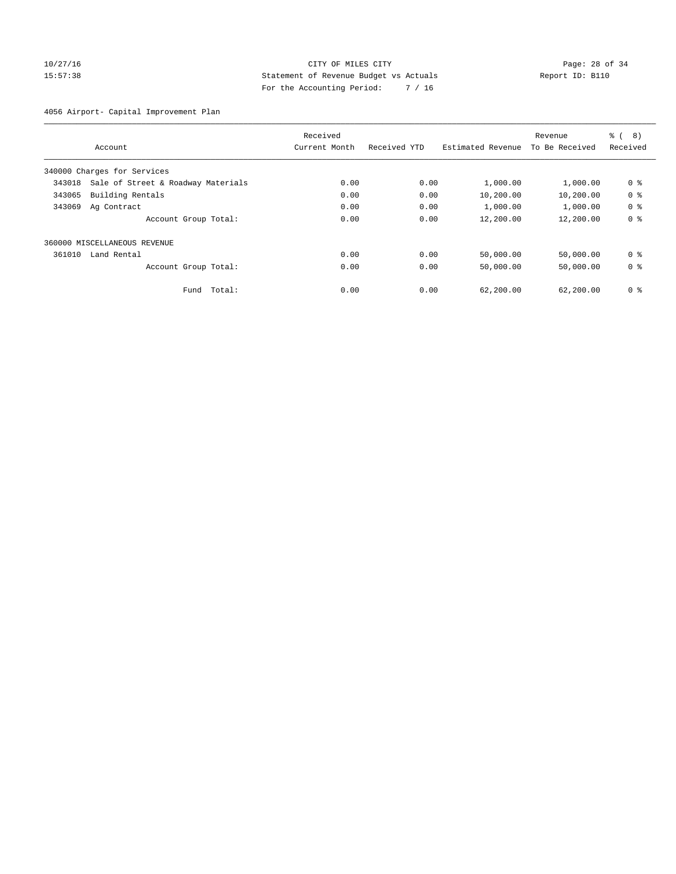#### 10/27/16 Page: 28 of 34 15:57:38 Statement of Revenue Budget vs Actuals Report ID: B110 For the Accounting Period: 7 / 16

4056 Airport- Capital Improvement Plan

| Received                                     |               |              | Revenue           | ී (<br>8)      |                |
|----------------------------------------------|---------------|--------------|-------------------|----------------|----------------|
| Account                                      | Current Month | Received YTD | Estimated Revenue | To Be Received | Received       |
| 340000 Charges for Services                  |               |              |                   |                |                |
| Sale of Street & Roadway Materials<br>343018 | 0.00          | 0.00         | 1,000.00          | 1,000.00       | 0 <sup>8</sup> |
| 343065<br>Building Rentals                   | 0.00          | 0.00         | 10,200.00         | 10,200.00      | 0 <sup>8</sup> |
| 343069<br>Ag Contract                        | 0.00          | 0.00         | 1,000.00          | 1,000.00       | 0 <sup>8</sup> |
| Account Group Total:                         | 0.00          | 0.00         | 12,200.00         | 12,200.00      | 0 <sup>8</sup> |
| 360000 MISCELLANEOUS REVENUE                 |               |              |                   |                |                |
| 361010<br>Land Rental                        | 0.00          | 0.00         | 50,000.00         | 50,000.00      | 0 <sup>8</sup> |
| Account Group Total:                         | 0.00          | 0.00         | 50,000.00         | 50,000.00      | 0 <sup>8</sup> |
| Total:<br>Fund                               | 0.00          | 0.00         | 62,200.00         | 62,200.00      | 0 %            |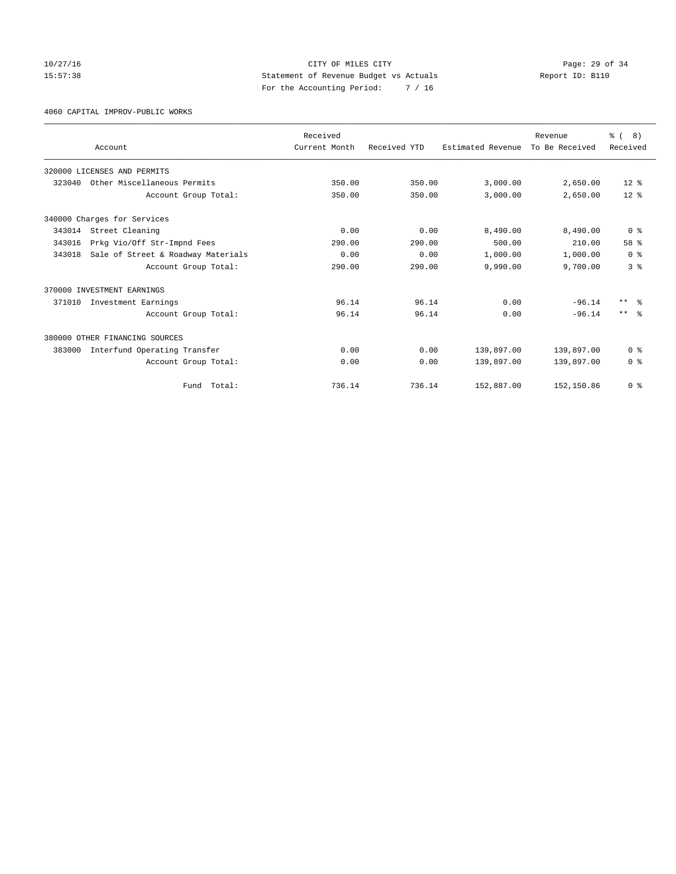# 10/27/16 Page: 29 of 34 15:57:38 Statement of Revenue Budget vs Actuals Report ID: B110 For the Accounting Period: 7 / 16

4060 CAPITAL IMPROV-PUBLIC WORKS

|        |                                    | Received      |              |                   | Revenue        | $\frac{6}{6}$ ( 8) |
|--------|------------------------------------|---------------|--------------|-------------------|----------------|--------------------|
|        | Account                            | Current Month | Received YTD | Estimated Revenue | To Be Received | Received           |
|        | 320000 LICENSES AND PERMITS        |               |              |                   |                |                    |
| 323040 | Other Miscellaneous Permits        | 350.00        | 350.00       | 3,000.00          | 2,650.00       | $12*$              |
|        | Account Group Total:               | 350.00        | 350.00       | 3,000.00          | 2,650.00       | $12*$              |
|        | 340000 Charges for Services        |               |              |                   |                |                    |
| 343014 | Street Cleaning                    | 0.00          | 0.00         | 8,490.00          | 8,490.00       | 0 <sup>8</sup>     |
| 343016 | Prkg Vio/Off Str-Impnd Fees        | 290.00        | 290.00       | 500.00            | 210.00         | 58 %               |
| 343018 | Sale of Street & Roadway Materials | 0.00          | 0.00         | 1,000.00          | 1,000.00       | 0 <sup>8</sup>     |
|        | Account Group Total:               | 290.00        | 290.00       | 9,990.00          | 9,700.00       | 3%                 |
|        | 370000 INVESTMENT EARNINGS         |               |              |                   |                |                    |
| 371010 | Investment Earnings                | 96.14         | 96.14        | 0.00              | $-96.14$       | $***$ $\approx$    |
|        | Account Group Total:               | 96.14         | 96.14        | 0.00              | $-96.14$       | $***$ $\approx$    |
|        | 380000 OTHER FINANCING SOURCES     |               |              |                   |                |                    |
| 383000 | Interfund Operating Transfer       | 0.00          | 0.00         | 139,897.00        | 139,897.00     | 0 <sup>8</sup>     |
|        | Account Group Total:               | 0.00          | 0.00         | 139,897.00        | 139,897.00     | 0 <sup>8</sup>     |
|        | Fund Total:                        | 736.14        | 736.14       | 152,887.00        | 152,150.86     | 0 <sup>8</sup>     |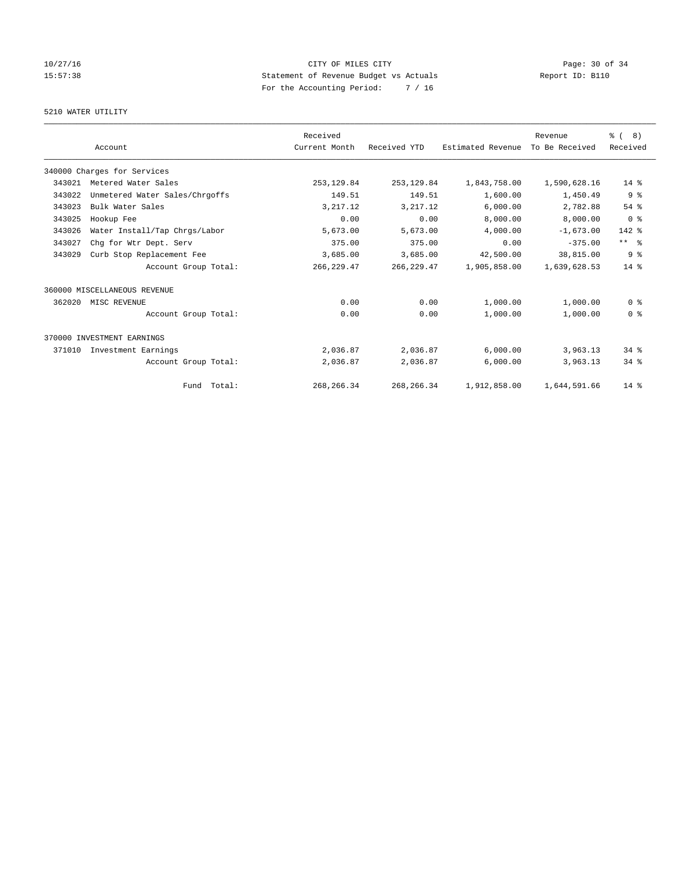# 10/27/16 Page: 30 of 34 15:57:38 Statement of Revenue Budget vs Actuals Report ID: B110 For the Accounting Period: 7 / 16

#### 5210 WATER UTILITY

|        | Account                        | Received<br>Current Month | Received YTD | Estimated Revenue | Revenue<br>To Be Received | $\frac{6}{6}$ ( 8)<br>Received |
|--------|--------------------------------|---------------------------|--------------|-------------------|---------------------------|--------------------------------|
|        |                                |                           |              |                   |                           |                                |
|        | 340000 Charges for Services    |                           |              |                   |                           |                                |
| 343021 | Metered Water Sales            | 253, 129.84               | 253, 129.84  | 1,843,758.00      | 1,590,628.16              | $14*$                          |
| 343022 | Unmetered Water Sales/Chrgoffs | 149.51                    | 149.51       | 1,600.00          | 1,450.49                  | 9 <sup>8</sup>                 |
| 343023 | Bulk Water Sales               | 3, 217.12                 | 3, 217.12    | 6,000.00          | 2,782.88                  | $54$ $%$                       |
| 343025 | Hookup Fee                     | 0.00                      | 0.00         | 8,000.00          | 8,000.00                  | 0 <sup>8</sup>                 |
| 343026 | Water Install/Tap Chrgs/Labor  | 5,673.00                  | 5,673.00     | 4,000.00          | $-1,673.00$               | $142$ %                        |
| 343027 | Chq for Wtr Dept. Serv         | 375.00                    | 375.00       | 0.00              | $-375.00$                 | $***$ $ -$                     |
| 343029 | Curb Stop Replacement Fee      | 3,685.00                  | 3,685.00     | 42,500.00         | 38,815.00                 | 9 <sup>8</sup>                 |
|        | Account Group Total:           | 266, 229.47               | 266, 229.47  | 1,905,858.00      | 1,639,628.53              | $14*$                          |
|        | 360000 MISCELLANEOUS REVENUE   |                           |              |                   |                           |                                |
| 362020 | MISC REVENUE                   | 0.00                      | 0.00         | 1,000.00          | 1,000.00                  | 0 <sup>8</sup>                 |
|        | Account Group Total:           | 0.00                      | 0.00         | 1,000.00          | 1,000.00                  | 0 <sup>8</sup>                 |
|        | 370000 INVESTMENT EARNINGS     |                           |              |                   |                           |                                |
| 371010 | Investment Earnings            | 2,036.87                  | 2,036.87     | 6,000.00          | 3,963.13                  | $34$ $%$                       |
|        | Account Group Total:           | 2,036.87                  | 2,036.87     | 6,000.00          | 3,963.13                  | 34.8                           |
|        | Fund Total:                    | 268, 266. 34              | 268, 266.34  | 1,912,858.00      | 1,644,591.66              | $14*$                          |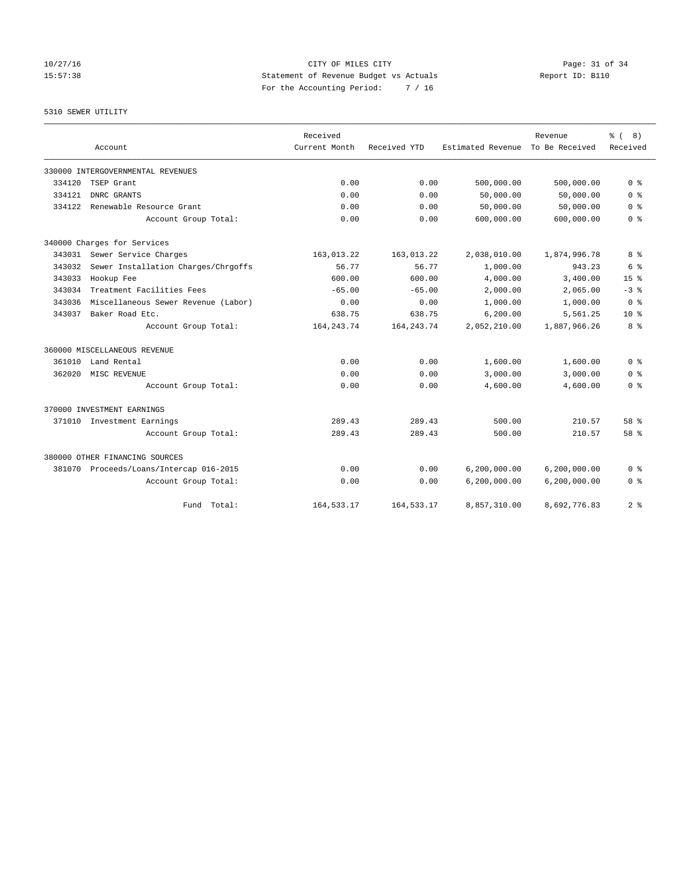10/27/16 Page: 31 of 34 15:57:38 Statement of Revenue Budget vs Actuals Report ID: B110 For the Accounting Period: 7 / 16

#### 5310 SEWER UTILITY

|        |                                         | Received      |              |                   | Revenue        | ී (<br>8)       |
|--------|-----------------------------------------|---------------|--------------|-------------------|----------------|-----------------|
|        | Account                                 | Current Month | Received YTD | Estimated Revenue | To Be Received | Received        |
|        | 330000 INTERGOVERNMENTAL REVENUES       |               |              |                   |                |                 |
| 334120 | TSEP Grant                              | 0.00          | 0.00         | 500,000.00        | 500,000.00     | 0 <sup>8</sup>  |
| 334121 | DNRC GRANTS                             | 0.00          | 0.00         | 50,000.00         | 50,000.00      | 0 <sup>8</sup>  |
| 334122 | Renewable Resource Grant                | 0.00          | 0.00         | 50,000.00         | 50,000.00      | 0 <sup>8</sup>  |
|        | Account Group Total:                    | 0.00          | 0.00         | 600,000.00        | 600,000.00     | 0 <sup>8</sup>  |
|        | 340000 Charges for Services             |               |              |                   |                |                 |
| 343031 | Sewer Service Charges                   | 163,013.22    | 163,013.22   | 2,038,010.00      | 1,874,996.78   | 8 %             |
| 343032 | Sewer Installation Charges/Chrgoffs     | 56.77         | 56.77        | 1,000.00          | 943.23         | 6 %             |
| 343033 | Hookup Fee                              | 600.00        | 600.00       | 4,000.00          | 3,400.00       | 15 <sup>8</sup> |
| 343034 | Treatment Facilities Fees               | $-65.00$      | $-65.00$     | 2,000.00          | 2,065.00       | $-3$ $%$        |
| 343036 | Miscellaneous Sewer Revenue (Labor)     | 0.00          | 0.00         | 1,000.00          | 1,000.00       | 0 <sup>8</sup>  |
| 343037 | Baker Road Etc.                         | 638.75        | 638.75       | 6, 200.00         | 5,561.25       | $10*$           |
|        | Account Group Total:                    | 164, 243. 74  | 164, 243. 74 | 2,052,210.00      | 1,887,966.26   | 8 %             |
|        | 360000 MISCELLANEOUS REVENUE            |               |              |                   |                |                 |
| 361010 | Land Rental                             | 0.00          | 0.00         | 1,600.00          | 1,600.00       | 0 %             |
| 362020 | MISC REVENUE                            | 0.00          | 0.00         | 3,000.00          | 3,000.00       | 0 <sup>8</sup>  |
|        | Account Group Total:                    | 0.00          | 0.00         | 4,600.00          | 4,600.00       | 0 <sup>8</sup>  |
|        | 370000 INVESTMENT EARNINGS              |               |              |                   |                |                 |
| 371010 | Investment Earnings                     | 289.43        | 289.43       | 500.00            | 210.57         | 58 %            |
|        | Account Group Total:                    | 289.43        | 289.43       | 500.00            | 210.57         | 58 %            |
|        | 380000 OTHER FINANCING SOURCES          |               |              |                   |                |                 |
|        | 381070 Proceeds/Loans/Intercap 016-2015 | 0.00          | 0.00         | 6,200,000.00      | 6, 200, 000.00 | 0 <sup>8</sup>  |
|        | Account Group Total:                    | 0.00          | 0.00         | 6,200,000.00      | 6, 200, 000.00 | 0 <sup>8</sup>  |
|        | Total:<br>Fund                          | 164, 533. 17  | 164, 533. 17 | 8,857,310.00      | 8,692,776.83   | 2 <sup>8</sup>  |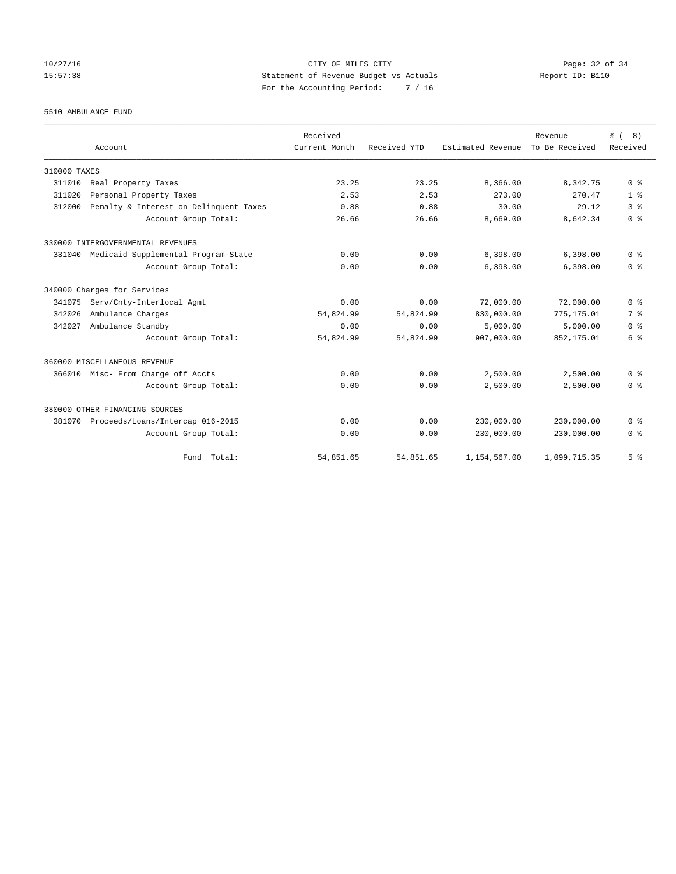# 10/27/16 Page: 32 of 34 15:57:38 Statement of Revenue Budget vs Actuals Report ID: B110 For the Accounting Period: 7 / 16

5510 AMBULANCE FUND

|              |                                        | Received      |              |                   | Revenue        | % (8)          |
|--------------|----------------------------------------|---------------|--------------|-------------------|----------------|----------------|
|              | Account                                | Current Month | Received YTD | Estimated Revenue | To Be Received | Received       |
| 310000 TAXES |                                        |               |              |                   |                |                |
| 311010       | Real Property Taxes                    | 23.25         | 23.25        | 8,366.00          | 8,342.75       | 0 <sup>8</sup> |
| 311020       | Personal Property Taxes                | 2.53          | 2.53         | 273.00            | 270.47         | 1 <sup>8</sup> |
| 312000       | Penalty & Interest on Delinquent Taxes | 0.88          | 0.88         | 30.00             | 29.12          | 3 <sup>8</sup> |
|              | Account Group Total:                   | 26.66         | 26.66        | 8,669.00          | 8,642.34       | 0 <sup>8</sup> |
|              | 330000 INTERGOVERNMENTAL REVENUES      |               |              |                   |                |                |
| 331040       | Medicaid Supplemental Program-State    | 0.00          | 0.00         | 6,398.00          | 6,398.00       | 0 <sup>8</sup> |
|              | Account Group Total:                   | 0.00          | 0.00         | 6,398.00          | 6,398.00       | 0 <sup>8</sup> |
|              | 340000 Charges for Services            |               |              |                   |                |                |
| 341075       | Serv/Cnty-Interlocal Agmt              | 0.00          | 0.00         | 72,000.00         | 72,000.00      | 0 <sup>8</sup> |
| 342026       | Ambulance Charges                      | 54,824.99     | 54,824.99    | 830,000.00        | 775,175.01     | 7 <sup>8</sup> |
| 342027       | Ambulance Standby                      | 0.00          | 0.00         | 5.000.00          | 5.000.00       | 0 <sup>8</sup> |
|              | Account Group Total:                   | 54,824.99     | 54,824.99    | 907,000.00        | 852,175.01     | 6 <sup>8</sup> |
|              | 360000 MISCELLANEOUS REVENUE           |               |              |                   |                |                |
| 366010       | Misc- From Charge off Accts            | 0.00          | 0.00         | 2,500.00          | 2,500.00       | 0 <sup>8</sup> |
|              | Account Group Total:                   | 0.00          | 0.00         | 2,500.00          | 2.500.00       | 0 <sup>8</sup> |
|              | 380000 OTHER FINANCING SOURCES         |               |              |                   |                |                |
| 381070       | Proceeds/Loans/Intercap 016-2015       | 0.00          | 0.00         | 230,000.00        | 230,000.00     | 0 <sup>8</sup> |
|              | Account Group Total:                   | 0.00          | 0.00         | 230,000.00        | 230,000.00     | 0 <sup>8</sup> |
|              | Fund Total:                            | 54,851.65     | 54,851.65    | 1,154,567.00      | 1,099,715.35   | 5 <sup>8</sup> |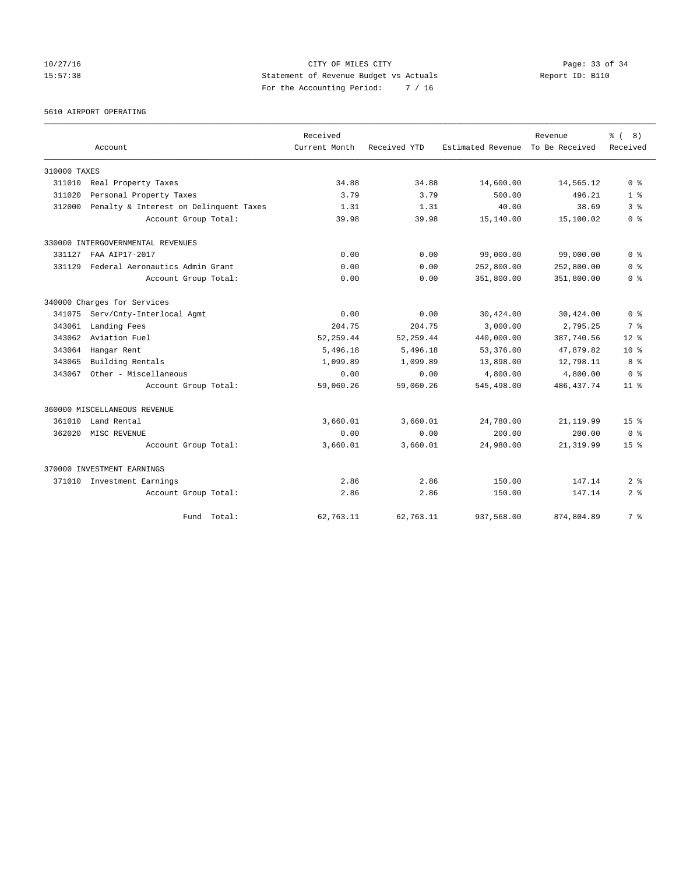10/27/16 Page: 33 of 34 15:57:38 Statement of Revenue Budget vs Actuals Report ID: B110 For the Accounting Period: 7 / 16

# 5610 AIRPORT OPERATING

|              |                                        | Received      |              |                   | Revenue        | ී (<br>8)       |
|--------------|----------------------------------------|---------------|--------------|-------------------|----------------|-----------------|
|              | Account                                | Current Month | Received YTD | Estimated Revenue | To Be Received | Received        |
| 310000 TAXES |                                        |               |              |                   |                |                 |
| 311010       | Real Property Taxes                    | 34.88         | 34.88        | 14,600.00         | 14,565.12      | 0 <sup>8</sup>  |
| 311020       | Personal Property Taxes                | 3.79          | 3.79         | 500.00            | 496.21         | 1 <sup>8</sup>  |
| 312000       | Penalty & Interest on Delinquent Taxes | 1.31          | 1.31         | 40.00             | 38.69          | 3 <sup>8</sup>  |
|              | Account Group Total:                   | 39.98         | 39.98        | 15,140.00         | 15,100.02      | 0 <sup>8</sup>  |
|              | 330000 INTERGOVERNMENTAL REVENUES      |               |              |                   |                |                 |
| 331127       | FAA AIP17-2017                         | 0.00          | 0.00         | 99,000.00         | 99,000.00      | 0 <sup>8</sup>  |
| 331129       | Federal Aeronautics Admin Grant        | 0.00          | 0.00         | 252,800.00        | 252,800.00     | 0 <sup>8</sup>  |
|              | Account Group Total:                   | 0.00          | 0.00         | 351,800.00        | 351,800.00     | 0 %             |
|              | 340000 Charges for Services            |               |              |                   |                |                 |
| 341075       | Serv/Cnty-Interlocal Agmt              | 0.00          | 0.00         | 30,424.00         | 30,424.00      | 0 <sup>8</sup>  |
| 343061       | Landing Fees                           | 204.75        | 204.75       | 3.000.00          | 2,795.25       | 7 %             |
| 343062       | Aviation Fuel                          | 52, 259.44    | 52, 259.44   | 440,000.00        | 387,740.56     | $12*$           |
| 343064       | Hangar Rent                            | 5,496.18      | 5,496.18     | 53,376.00         | 47,879.82      | $10*$           |
| 343065       | Building Rentals                       | 1,099.89      | 1,099.89     | 13,898.00         | 12,798.11      | 8 %             |
| 343067       | Other - Miscellaneous                  | 0.00          | 0.00         | 4,800.00          | 4,800.00       | 0 <sup>8</sup>  |
|              | Account Group Total:                   | 59,060.26     | 59,060.26    | 545,498.00        | 486, 437. 74   | 11 <sup>8</sup> |
|              | 360000 MISCELLANEOUS REVENUE           |               |              |                   |                |                 |
| 361010       | Land Rental                            | 3,660.01      | 3,660.01     | 24,780.00         | 21, 119.99     | 15 <sup>8</sup> |
| 362020       | MISC REVENUE                           | 0.00          | 0.00         | 200.00            | 200.00         | 0 <sup>8</sup>  |
|              | Account Group Total:                   | 3,660.01      | 3,660.01     | 24,980.00         | 21, 319.99     | $15*$           |
|              | 370000 INVESTMENT EARNINGS             |               |              |                   |                |                 |
|              | 371010 Investment Earnings             | 2.86          | 2.86         | 150.00            | 147.14         | 2 <sup>8</sup>  |
|              | Account Group Total:                   | 2.86          | 2.86         | 150.00            | 147.14         | 2 <sup>8</sup>  |
|              | Fund Total:                            | 62,763.11     | 62,763.11    | 937,568.00        | 874,804.89     | 7 %             |